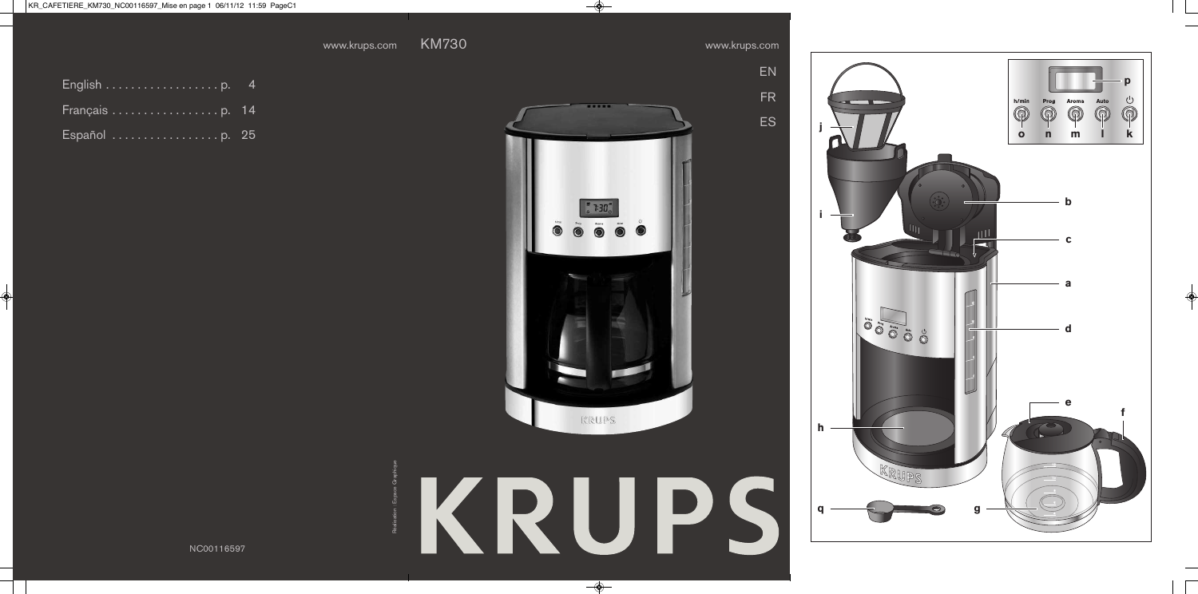E N

F R

E S

| English $\ldots \ldots \ldots \ldots \ldots$ . p. 4 |  |  |  |  |  |  |  |  |  |  |  |
|-----------------------------------------------------|--|--|--|--|--|--|--|--|--|--|--|
|                                                     |  |  |  |  |  |  |  |  |  |  |  |
| Español p. 25                                       |  |  |  |  |  |  |  |  |  |  |  |



KRUPS

Réalisation : Espace Graphique

NC00116597

**hijq**

<u>h</u>

 $\mathbf{C}$ 

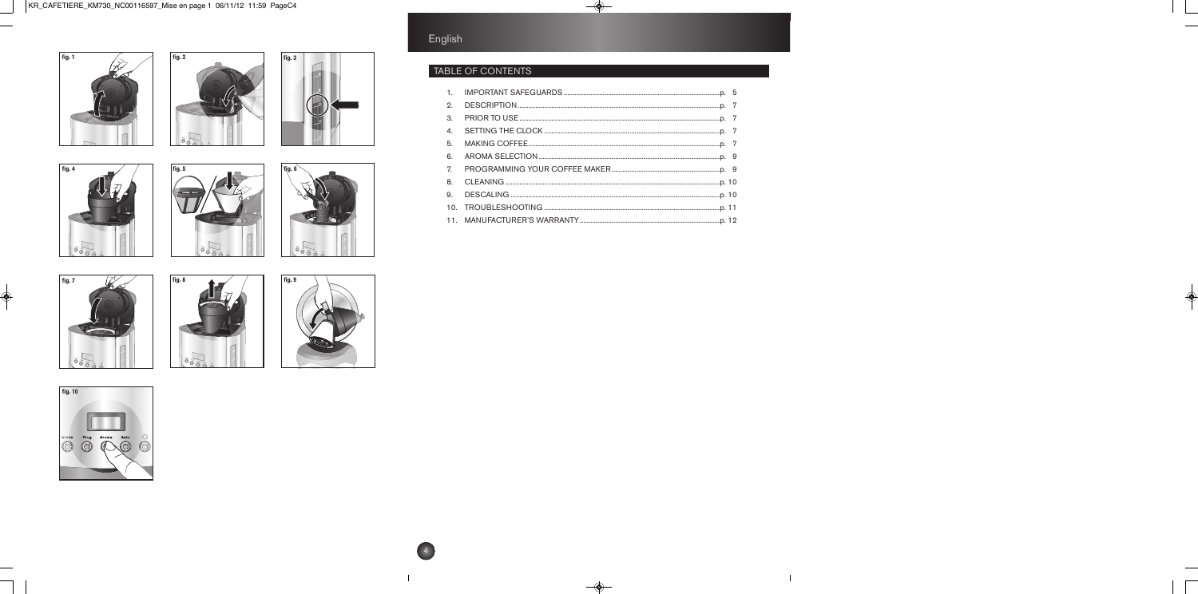













Prog Aroma Auto U

fig. 10

 $\bigcirc$ 





## English

## TABLE OF CONTENTS

| $\mathbf{1}$ . |  |
|----------------|--|
| 2.             |  |
| 3.             |  |
| $\mathbf{4}$   |  |
| 5.             |  |
| 6.             |  |
| 7.             |  |
| 8.             |  |
| 9.             |  |
|                |  |
|                |  |
|                |  |



4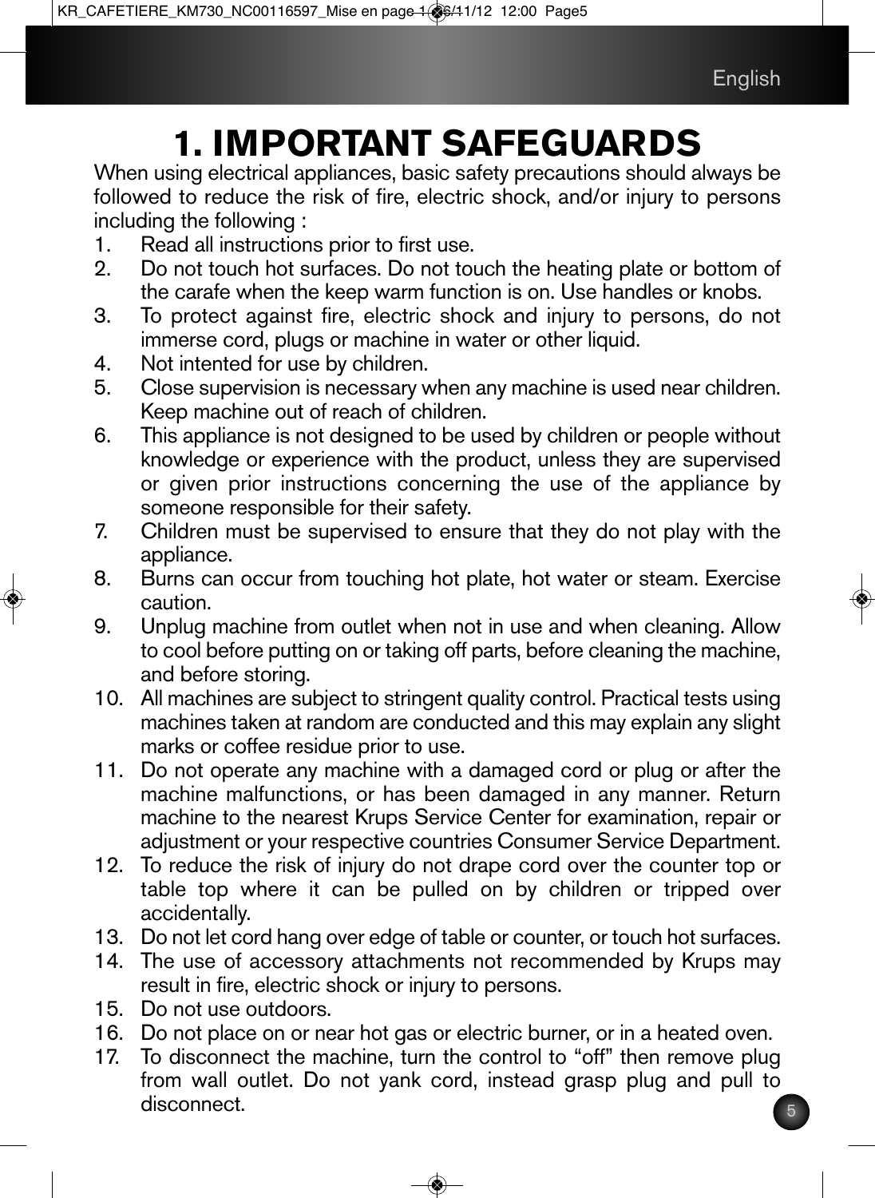# **1. IMPORTANT SAFEGUARDS**

When using electrical appliances, basic safety precautions should always be followed to reduce the risk of fire, electric shock, and/or injury to persons including the following :

- Read all instructions prior to first use.
- 2. Do not touch hot surfaces. Do not touch the heating plate or bottom of the carafe when the keep warm function is on. Use handles or knobs.
- 3. To protect against fire, electric shock and injury to persons, do not immerse cord, plugs or machine in water or other liquid.
- 4. Not intented for use by children.<br>5. Close supervision is necessary v
- Close supervision is necessary when any machine is used near children. Keep machine out of reach of children.
- 6. This appliance is not designed to be used by children or people without knowledge or experience with the product, unless they are supervised or given prior instructions concerning the use of the appliance by someone responsible for their safety.
- 7. Children must be supervised to ensure that they do not play with the appliance.
- 8. Burns can occur from touching hot plate, hot water or steam. Exercise caution.
- 9. Unplug machine from outlet when not in use and when cleaning. Allow to cool before putting on or taking off parts, before cleaning the machine, and before storing.
- 10. All machines are subject to stringent quality control. Practical tests using machines taken at random are conducted and this may explain any slight marks or coffee residue prior to use.
- 11. Do not operate any machine with a damaged cord or plug or after the machine malfunctions, or has been damaged in any manner. Return machine to the nearest Krups Service Center for examination, repair or adjustment or your respective countries Consumer Service Department.
- 12. To reduce the risk of injury do not drape cord over the counter top or table top where it can be pulled on by children or tripped over accidentally.
- 13. Do not let cord hang over edge of table or counter, or touch hot surfaces.
- 14. The use of accessory attachments not recommended by Krups may result in fire, electric shock or injury to persons.
- 15. Do not use outdoors.
- 16. Do not place on or near hot gas or electric burner, or in a heated oven.
- 17. To disconnect the machine, turn the control to "off" then remove plug from wall outlet. Do not yank cord, instead grasp plug and pull to disconnect.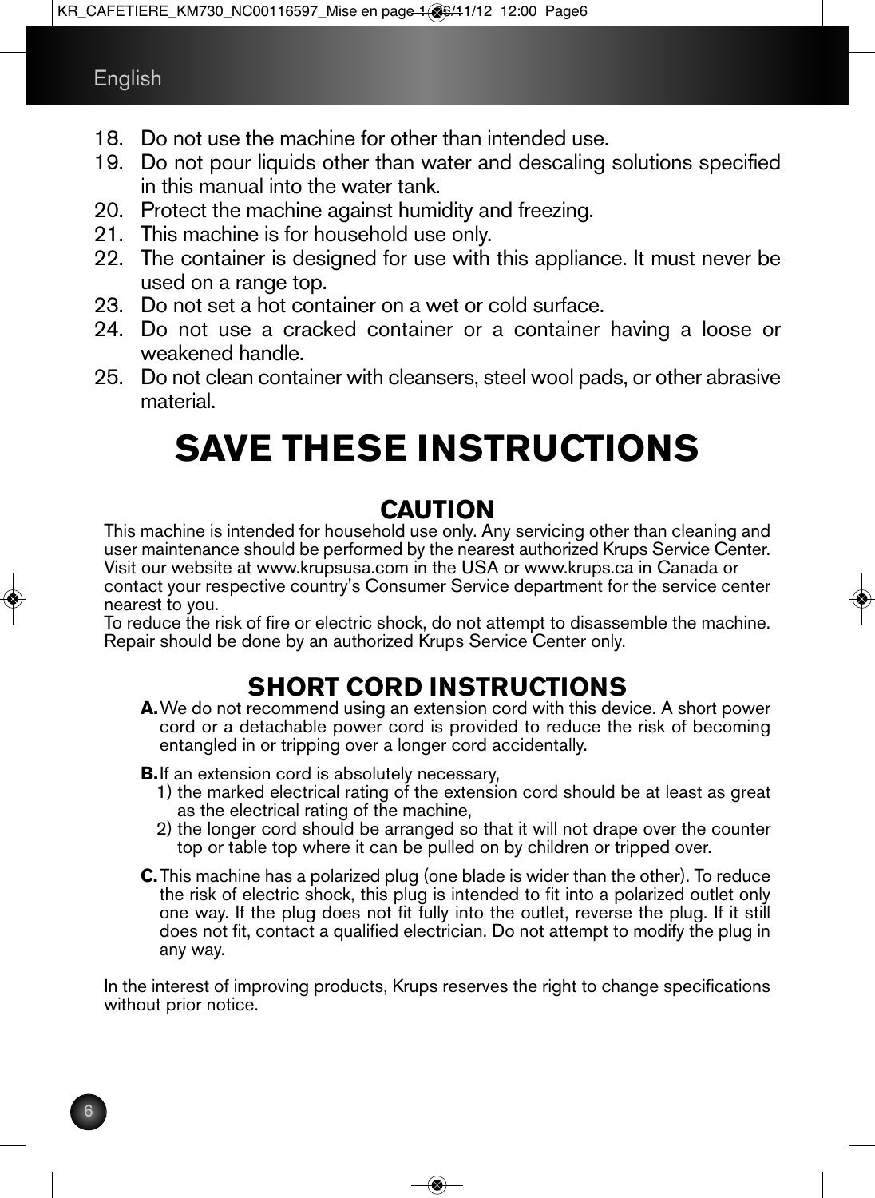- 18. Do not use the machine for other than intended use.
- 19. Do not pour liquids other than water and descaling solutions specified in this manual into the water tank.
- 20. Protect the machine against humidity and freezing.
- 21. This machine is for household use only.
- 22. The container is designed for use with this appliance. It must never be used on a range top.
- 23. Do not set a hot container on a wet or cold surface.
- 24. Do not use a cracked container or a container having a loose or weakened handle.
- 25. Do not clean container with cleansers, steel wool pads, or other abrasive material.

# **SAVE THESE INSTRUCTIONS**

## **CAUTION**

This machine is intended for household use only. Any servicing other than cleaning and user maintenance should be performed by the nearest authorized Krups Service Center. Visit our website at www.krupsusa.com in the USA or www.krups.ca in Canada or contact your respective country's Consumer Service department for the service center

nearest to you.<br>To reduce the risk of fire or electric shock, do not attempt to disassemble the machine.<br>Repair should be done by an authorized Krups Service Center only.

## **SHORT CORD INSTRUCTIONS**

**A.**We do not recommend using an extension cord with this device. A short power cord or a detachable power cord is provided to reduce the risk of becoming entangled in or tripping over a longer cord accidentally.

- **B.**If an extension cord is absolutely necessary,<br>1) the marked electrical rating of the extension cord should be at least as great<br>as the electrical rating of the machine,
	- 2) the longer cord should be arranged so that it will not drape over the counter top or table top where it can be pulled on by children or tripped over.
- **C.**This machine has a polarized plug (one blade is wider than the other). To reduce the risk of electric shock, this plug is intended to fit into a polarized outlet only one way. If the plug does not fit fully into the outlet, reverse the plug. If it still does not fit, contact a qualified electrician. Do not attempt to modify the plug in any way.

In the interest of improving products, Krups reserves the right to change specifications without prior notice.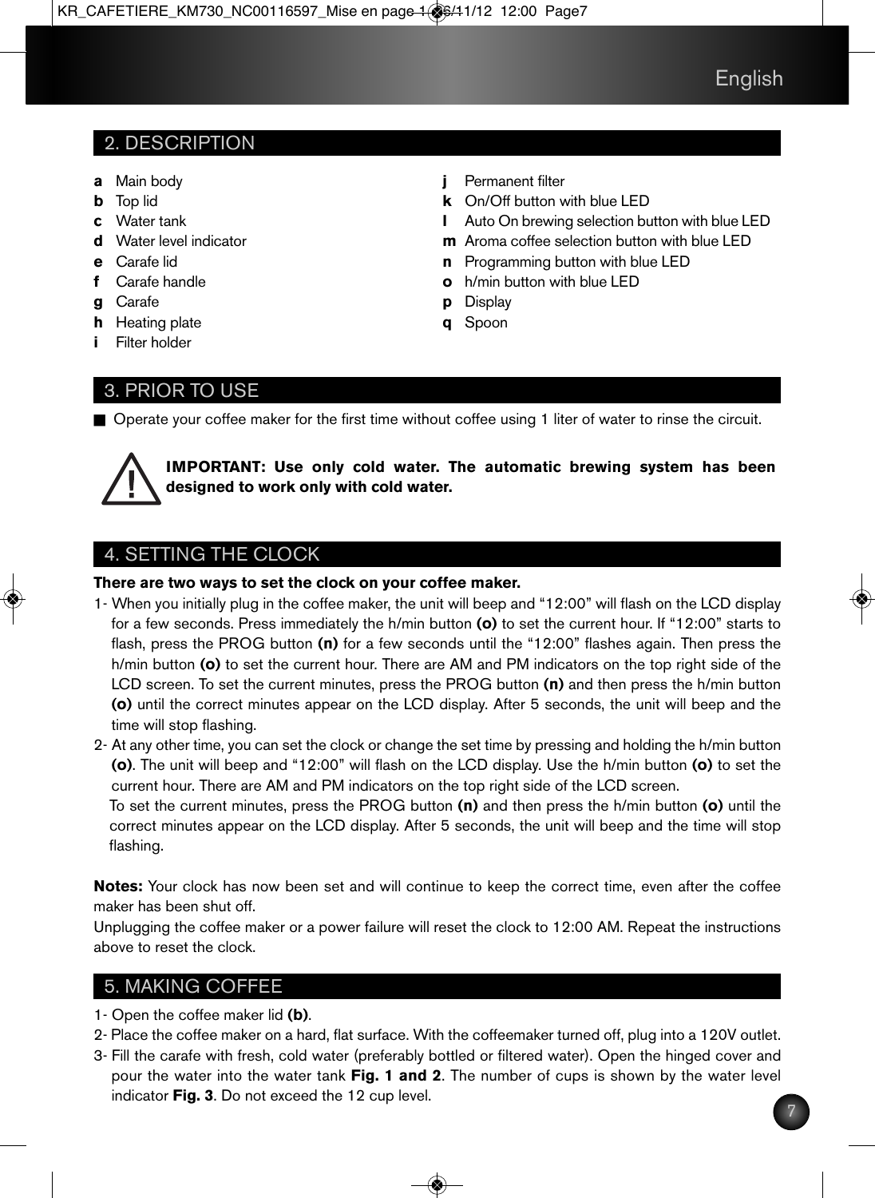## 2. DESCRIPTION

- **a** Main body
- **b** Top lid
- **c** Water tank
- **d** Water level indicator
- **e** Carafe lid
- **f** Carafe handle
- **g** Carafe
- **h** Heating plate
- **i** Filter holder

## 3. PRIOR TO USE

- **j** Permanent filter
- **k** On/Off button with blue LED
- **l** Auto On brewing selection button with blue LED
- **m** Aroma coffee selection button with blue LED
- **n** Programming button with blue LED
- **o** h/min button with blue LED
- **p** Display
- **q** Spoon

■ Operate your coffee maker for the first time without coffee using 1 liter of water to rinse the circuit.



**IMPORTANT: Use only cold water. The automatic brewing system has been designed to work only with cold water.**

## 4. SETTING THE CLOCK

#### **There are two ways to set the clock on your coffee maker.**

- 1- When you initially plug in the coffee maker, the unit will beep and "12:00" will flash on the LCD display for a few seconds. Press immediately the h/min button **(o)** to set the current hour. If "12:00" starts to flash, press the PROG button **(n)** for a few seconds until the "12:00" flashes again. Then press the h/min button **(o)** to set the current hour. There are AM and PM indicators on the top right side of the LCD screen. To set the current minutes, press the PROG button **(n)** and then press the h/min button **(o)** until the correct minutes appear on the LCD display. After 5 seconds, the unit will beep and the time will stop flashing.
- 2- At any other time, you can set the clock or change the set time by pressing and holding the h/min button **(o)**. The unit will beep and "12:00" will flash on the LCD display. Use the h/min button **(o)** to set the current hour. There are AM and PM indicators on the top right side of the LCD screen.

To set the current minutes, press the PROG button **(n)** and then press the h/min button **(o)** until the correct minutes appear on the LCD display. After 5 seconds, the unit will beep and the time will stop flashing.

**Notes:** Your clock has now been set and will continue to keep the correct time, even after the coffee maker has been shut off.

Unplugging the coffee maker or a power failure will reset the clock to 12:00 AM. Repeat the instructions above to reset the clock.

## 5. MAKING COFFEE

- 1- Open the coffee maker lid **(b)**.
- 2- Place the coffee maker on a hard, flat surface. With the coffeemaker turned off, plug into a 120V outlet.
- 3- Fill the carafe with fresh, cold water (preferably bottled or filtered water). Open the hinged cover and pour the water into the water tank **Fig. 1 and 2**. The number of cups is shown by the water level indicator **Fig. 3**. Do not exceed the 12 cup level.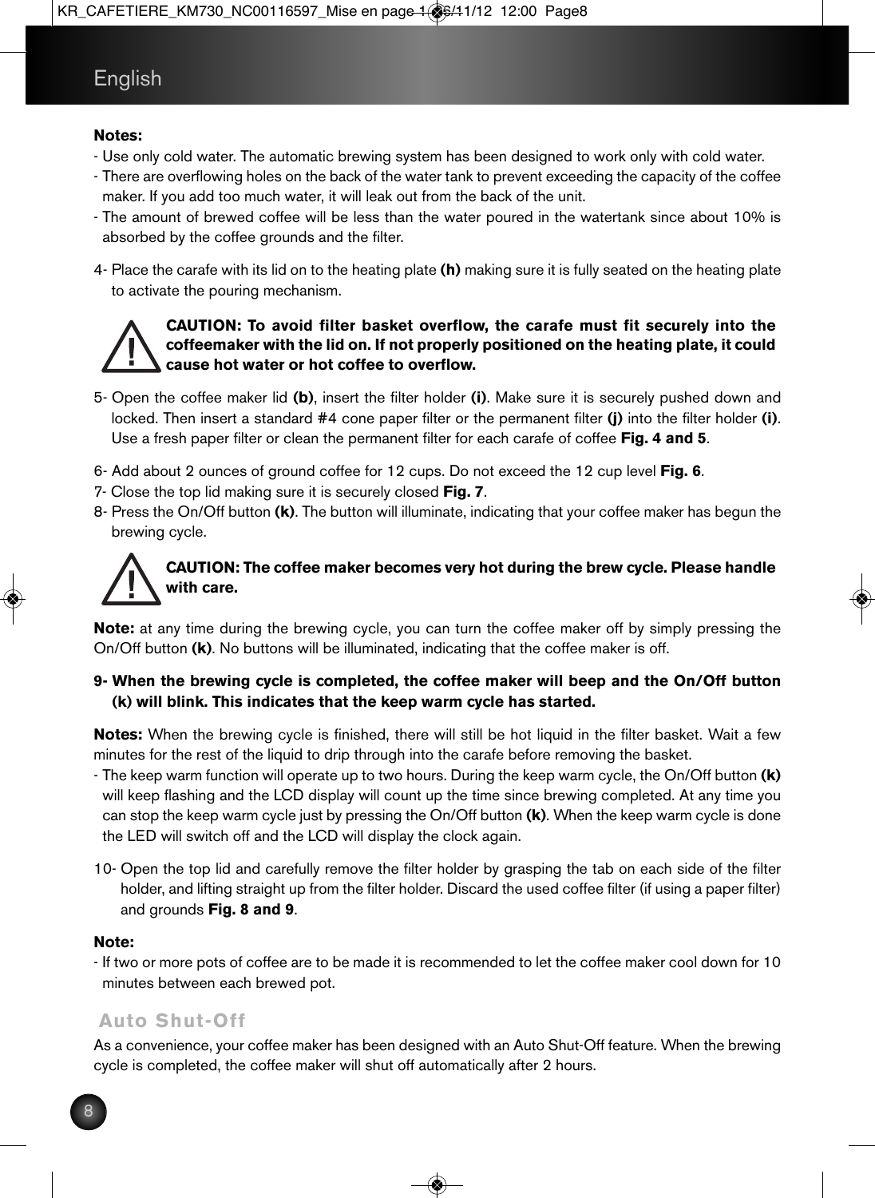#### **Notes:**

- Use only cold water. The automatic brewing system has been designed to work only with cold water.
- There are overflowing holes on the back of the water tank to prevent exceeding the capacity of the coffee maker. If you add too much water, it will leak out from the back of the unit.
- The amount of brewed coffee will be less than the water poured in the watertank since about 10% is absorbed by the coffee grounds and the filter.
- 4- Place the carafe with its lid on to the heating plate **(h)** making sure it is fully seated on the heating plate to activate the pouring mechanism.



#### **CAUTION: To avoid filter basket overflow, the carafe must fit securely into the coffeemaker with the lid on. If not properly positioned on the heating plate, it could cause hot water or hot coffee to overflow.**

- 5- Open the coffee maker lid **(b)**, insert the filter holder **(i)**. Make sure it is securely pushed down and locked. Then insert a standard #4 cone paper filter or the permanent filter **(j)** into the filter holder **(i)**. Use a fresh paper filter or clean the permanent filter for each carafe of coffee **Fig. 4 and 5**.
- 6- Add about 2 ounces of ground coffee for 12 cups. Do not exceed the 12 cup level **Fig. 6**.
- 7- Close the top lid making sure it is securely closed **Fig. 7**.
- 8- Press the On/Off button **(k)**. The button will illuminate, indicating that your coffee maker has begun the brewing cycle.



#### **CAUTION: The coffee maker becomes very hot during the brew cycle. Please handle with care.**

**Note:** at any time during the brewing cycle, you can turn the coffee maker off by simply pressing the On/Off button **(k)**. No buttons will be illuminated, indicating that the coffee maker is off.

#### **9- When the brewing cycle is completed, the coffee maker will beep and the On/Off button (k) will blink. This indicates that the keep warm cycle has started.**

**Notes:** When the brewing cycle is finished, there will still be hot liquid in the filter basket. Wait a few minutes for the rest of the liquid to drip through into the carafe before removing the basket.

- The keep warm function will operate up to two hours. During the keep warm cycle, the On/Off button **(k)** will keep flashing and the LCD display will count up the time since brewing completed. At any time you can stop the keep warm cycle just by pressing the On/Off button **(k)**. When the keep warm cycle is done the LED will switch off and the LCD will display the clock again.
- 10- Open the top lid and carefully remove the filter holder by grasping the tab on each side of the filter holder, and lifting straight up from the filter holder. Discard the used coffee filter (if using a paper filter) and grounds **Fig. 8 and 9**.

#### **Note:**

- If two or more pots of coffee are to be made it is recommended to let the coffee maker cool down for 10 minutes between each brewed pot.

## **Auto Shut-Off**

As a convenience, your coffee maker has been designed with an Auto Shut-Off feature. When the brewing cycle is completed, the coffee maker will shut off automatically after 2 hours.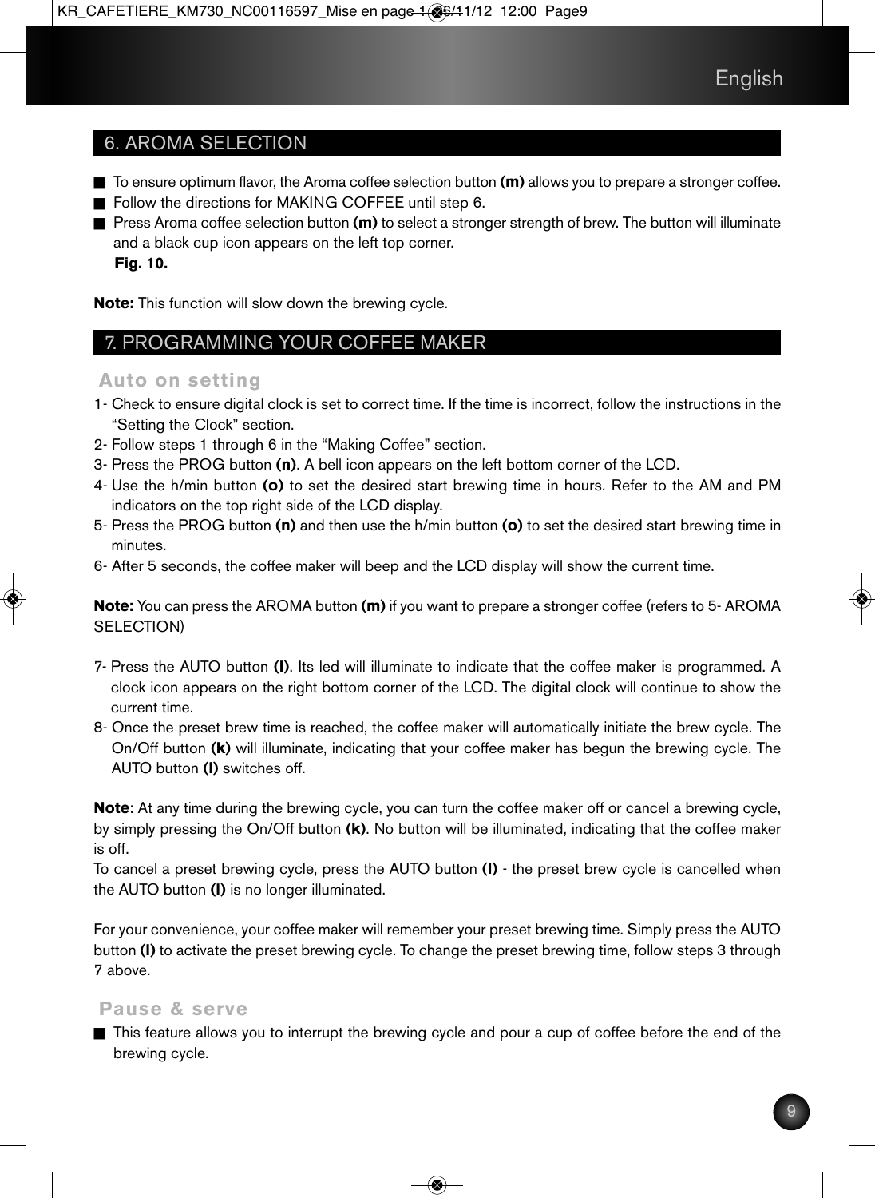## 6. AROMA SELECTION

- To ensure optimum flavor, the Aroma coffee selection button **(m)** allows you to prepare a stronger coffee.
- Follow the directions for MAKING COFFEE until step 6.
- Press Aroma coffee selection button **(m)** to select a stronger strength of brew. The button will illuminate and a black cup icon appears on the left top corner. **Fig. 10.**

**Note:** This function will slow down the brewing cycle.

## 7. PROGRAMMING YOUR COFFEE MAKER

#### **Auto on setting**

- 1- Check to ensure digital clock is set to correct time. If the time is incorrect, follow the instructions in the "Setting the Clock" section.
- 2- Follow steps 1 through 6 in the "Making Coffee" section.
- 3- Press the PROG button **(n)**. A bell icon appears on the left bottom corner of the LCD.
- 4- Use the h/min button **(o)** to set the desired start brewing time in hours. Refer to the AM and PM indicators on the top right side of the LCD display.
- 5- Press the PROG button **(n)** and then use the h/min button **(o)** to set the desired start brewing time in minutes.
- 6- After 5 seconds, the coffee maker will beep and the LCD display will show the current time.

**Note:** You can press the AROMA button **(m)** if you want to prepare a stronger coffee (refers to 5- AROMA SELECTION)

- 7- Press the AUTO button **(l)**. Its led will illuminate to indicate that the coffee maker is programmed. A clock icon appears on the right bottom corner of the LCD. The digital clock will continue to show the current time.
- 8- Once the preset brew time is reached, the coffee maker will automatically initiate the brew cycle. The On/Off button **(k)** will illuminate, indicating that your coffee maker has begun the brewing cycle. The AUTO button **(l)** switches off.

**Note**: At any time during the brewing cycle, you can turn the coffee maker off or cancel a brewing cycle, by simply pressing the On/Off button **(k)**. No button will be illuminated, indicating that the coffee maker is off.

To cancel a preset brewing cycle, press the AUTO button **(l)** - the preset brew cycle is cancelled when the AUTO button **(l)** is no longer illuminated.

For your convenience, your coffee maker will remember your preset brewing time. Simply press the AUTO button **(l)** to activate the preset brewing cycle. To change the preset brewing time, follow steps 3 through 7 above.

#### **Pause & serve**

n This feature allows you to interrupt the brewing cycle and pour a cup of coffee before the end of the brewing cycle.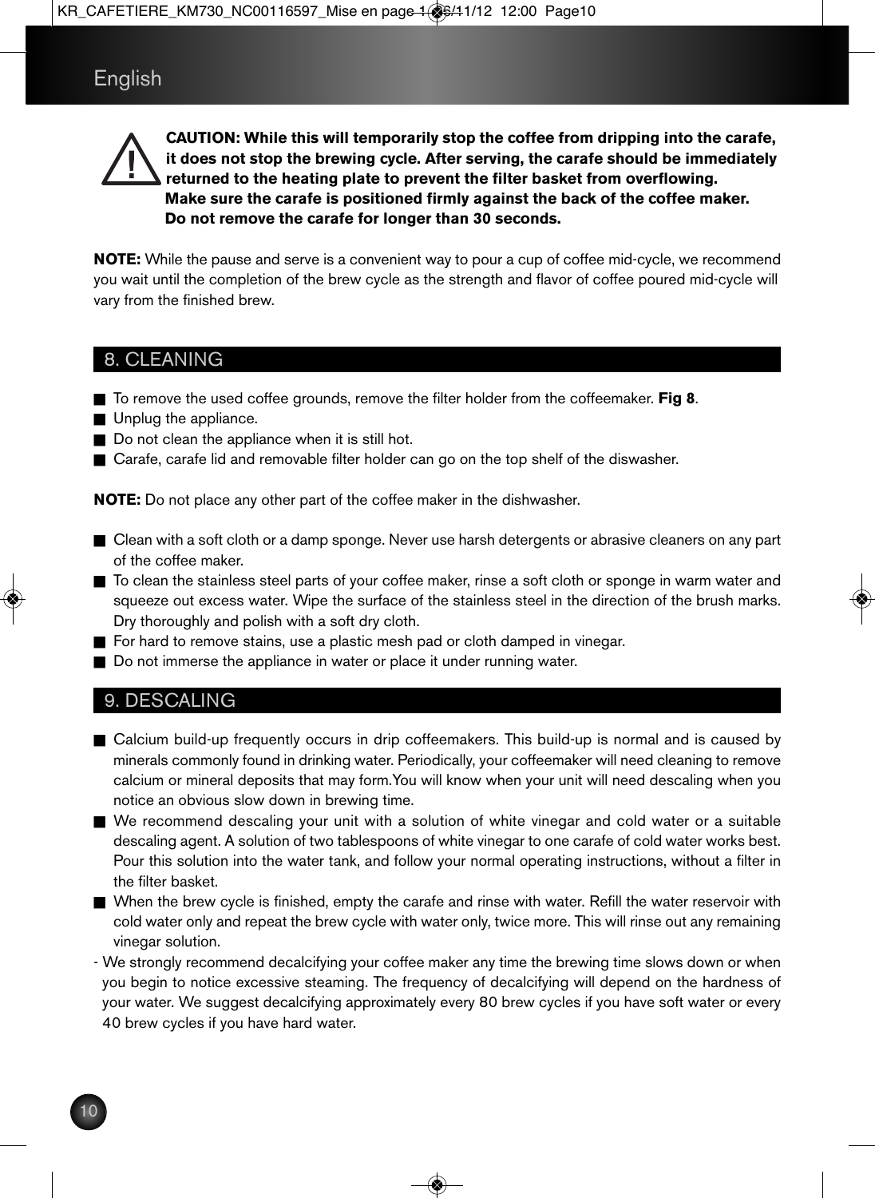**CAUTION: While this will temporarily stop the coffee from dripping into the carafe, it does not stop the brewing cycle. After serving, the carafe should be immediately returned to the heating plate to prevent the filter basket from overflowing. Make sure the carafe is positioned firmly against the back of the coffee maker. Do not remove the carafe for longer than 30 seconds.**

**NOTE:** While the pause and serve is a convenient way to pour a cup of coffee mid-cycle, we recommend you wait until the completion of the brew cycle as the strength and flavor of coffee poured mid-cycle will vary from the finished brew.

#### 8. CLEANING

- To remove the used coffee grounds, remove the filter holder from the coffeemaker. **Fig 8**.
- $\blacksquare$  Unplug the appliance.
- $\blacksquare$  Do not clean the appliance when it is still hot.
- Carafe, carafe lid and removable filter holder can go on the top shelf of the diswasher.

**NOTE:** Do not place any other part of the coffee maker in the dishwasher.

- Clean with a soft cloth or a damp sponge. Never use harsh detergents or abrasive cleaners on any part of the coffee maker.
- To clean the stainless steel parts of your coffee maker, rinse a soft cloth or sponge in warm water and squeeze out excess water. Wipe the surface of the stainless steel in the direction of the brush marks. Dry thoroughly and polish with a soft dry cloth.
- $\blacksquare$  For hard to remove stains, use a plastic mesh pad or cloth damped in vinegar.
- Do not immerse the appliance in water or place it under running water.

#### 9. DESCALING

- Calcium build-up frequently occurs in drip coffeemakers. This build-up is normal and is caused by minerals commonly found in drinking water. Periodically, your coffeemaker will need cleaning to remove calcium or mineral deposits that may form.You will know when your unit will need descaling when you notice an obvious slow down in brewing time.
- n We recommend descaling your unit with a solution of white vinegar and cold water or a suitable descaling agent. A solution of two tablespoons of white vinegar to one carafe of cold water works best. Pour this solution into the water tank, and follow your normal operating instructions, without a filter in the filter basket.
- When the brew cycle is finished, empty the carafe and rinse with water. Refill the water reservoir with cold water only and repeat the brew cycle with water only, twice more. This will rinse out any remaining vinegar solution.
- We strongly recommend decalcifying your coffee maker any time the brewing time slows down or when you begin to notice excessive steaming. The frequency of decalcifying will depend on the hardness of your water. We suggest decalcifying approximately every 80 brew cycles if you have soft water or every 40 brew cycles if you have hard water.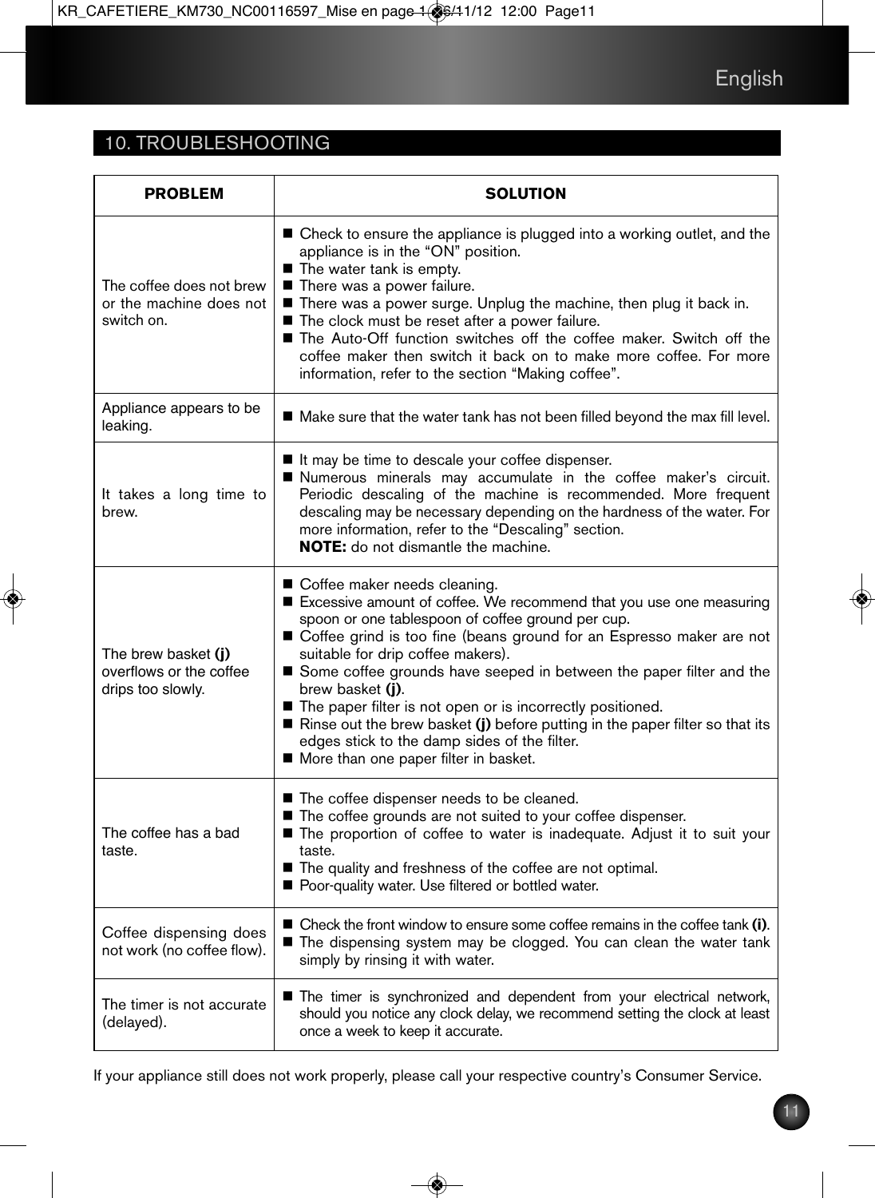## 10. TROUBLESHOOTING

| <b>PROBLEM</b>                                                      | <b>SOLUTION</b>                                                                                                                                                                                                                                                                                                                                                                                                                                                                                                                                                                                             |
|---------------------------------------------------------------------|-------------------------------------------------------------------------------------------------------------------------------------------------------------------------------------------------------------------------------------------------------------------------------------------------------------------------------------------------------------------------------------------------------------------------------------------------------------------------------------------------------------------------------------------------------------------------------------------------------------|
| The coffee does not brew<br>or the machine does not<br>switch on.   | ■ Check to ensure the appliance is plugged into a working outlet, and the<br>appliance is in the "ON" position.<br>The water tank is empty.<br>There was a power failure.<br>There was a power surge. Unplug the machine, then plug it back in.<br>■ The clock must be reset after a power failure.<br>The Auto-Off function switches off the coffee maker. Switch off the<br>coffee maker then switch it back on to make more coffee. For more<br>information, refer to the section "Making coffee".                                                                                                       |
| Appliance appears to be<br>leaking.                                 | ■ Make sure that the water tank has not been filled beyond the max fill level.                                                                                                                                                                                                                                                                                                                                                                                                                                                                                                                              |
| It takes a long time to<br>brew.                                    | If the time to descale your coffee dispenser.<br>Numerous minerals may accumulate in the coffee maker's circuit.<br>Periodic descaling of the machine is recommended. More frequent<br>descaling may be necessary depending on the hardness of the water. For<br>more information, refer to the "Descaling" section.<br><b>NOTE:</b> do not dismantle the machine.                                                                                                                                                                                                                                          |
| The brew basket (i)<br>overflows or the coffee<br>drips too slowly. | ■ Coffee maker needs cleaning.<br>Excessive amount of coffee. We recommend that you use one measuring<br>spoon or one tablespoon of coffee ground per cup.<br>Coffee grind is too fine (beans ground for an Espresso maker are not<br>suitable for drip coffee makers).<br>Some coffee grounds have seeped in between the paper filter and the<br>brew basket (i).<br>■ The paper filter is not open or is incorrectly positioned.<br>Rinse out the brew basket (j) before putting in the paper filter so that its<br>edges stick to the damp sides of the filter.<br>More than one paper filter in basket. |
| The coffee has a bad<br>taste.                                      | ■ The coffee dispenser needs to be cleaned.<br>The coffee grounds are not suited to your coffee dispenser.<br>The proportion of coffee to water is inadequate. Adjust it to suit your<br>taste.<br>■ The quality and freshness of the coffee are not optimal.<br>Poor-quality water. Use filtered or bottled water.                                                                                                                                                                                                                                                                                         |
| Coffee dispensing does<br>not work (no coffee flow).                | $\blacksquare$ Check the front window to ensure some coffee remains in the coffee tank (i).<br>The dispensing system may be clogged. You can clean the water tank<br>simply by rinsing it with water.                                                                                                                                                                                                                                                                                                                                                                                                       |
| The timer is not accurate<br>(delayed).                             | The timer is synchronized and dependent from your electrical network,<br>should you notice any clock delay, we recommend setting the clock at least<br>once a week to keep it accurate.                                                                                                                                                                                                                                                                                                                                                                                                                     |

If your appliance still does not work properly, please call your respective country's Consumer Service.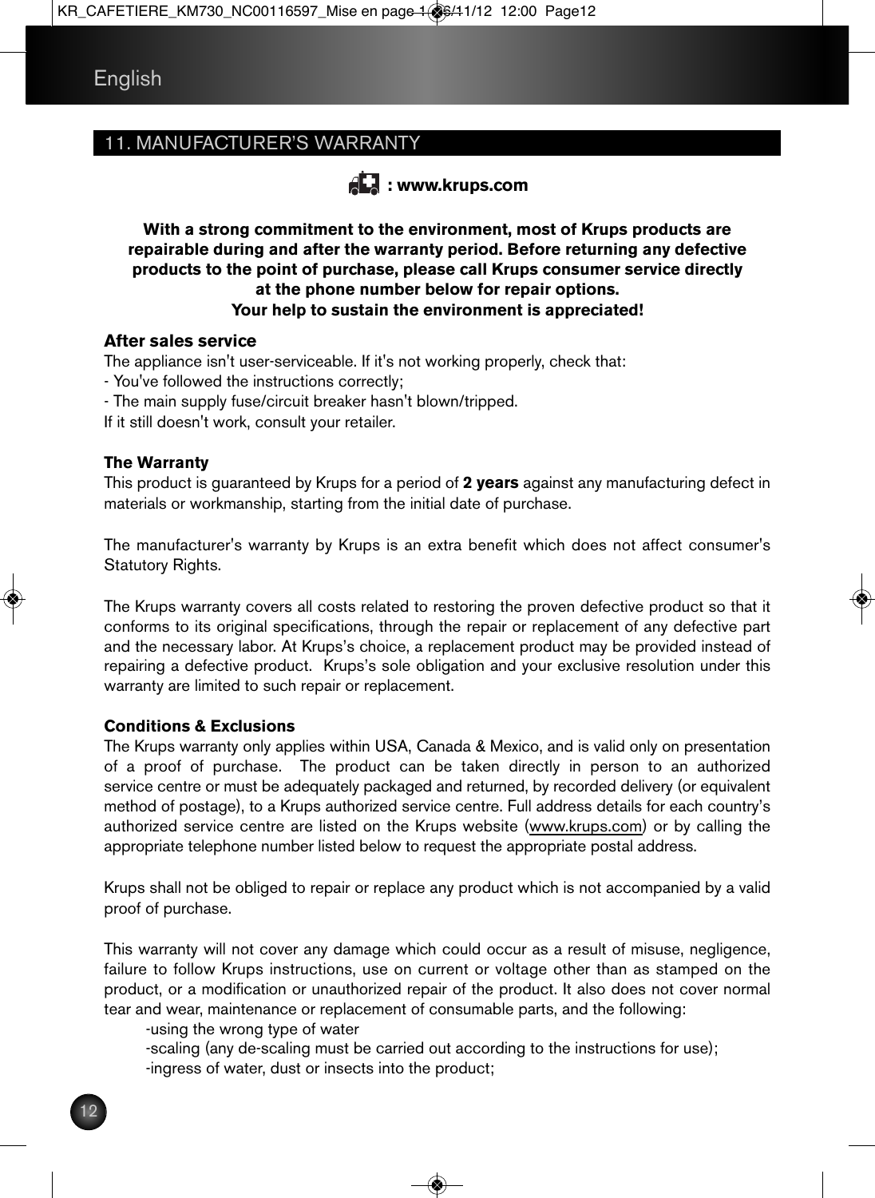## 11. MANUFACTURER'S WARRANTY



**With a strong commitment to the environment, most of Krups products are repairable during and after the warranty period. Before returning any defective products to the point of purchase, please call Krups consumer service directly at the phone number below for repair options. Your help to sustain the environment is appreciated!**

#### **After sales service**

The appliance isn't user-serviceable. If it's not working properly, check that:

- You've followed the instructions correctly;
- The main supply fuse/circuit breaker hasn't blown/tripped.
- If it still doesn't work, consult your retailer.

#### **The Warranty**

This product is guaranteed by Krups for a period of **2 years** against any manufacturing defect in materials or workmanship, starting from the initial date of purchase.

The manufacturer's warranty by Krups is an extra benefit which does not affect consumer's Statutory Rights.

The Krups warranty covers all costs related to restoring the proven defective product so that it conforms to its original specifications, through the repair or replacement of any defective part and the necessary labor. At Krups's choice, a replacement product may be provided instead of repairing a defective product. Krups's sole obligation and your exclusive resolution under this warranty are limited to such repair or replacement.

#### **Conditions & Exclusions**

The Krups warranty only applies within USA, Canada & Mexico, and is valid only on presentation of a proof of purchase. The product can be taken directly in person to an authorized service centre or must be adequately packaged and returned, by recorded delivery (or equivalent method of postage), to a Krups authorized service centre. Full address details for each country's authorized service centre are listed on the Krups website (www.krups.com) or by calling the appropriate telephone number listed below to request the appropriate postal address.

Krups shall not be obliged to repair or replace any product which is not accompanied by a valid proof of purchase.

This warranty will not cover any damage which could occur as a result of misuse, negligence, failure to follow Krups instructions, use on current or voltage other than as stamped on the product, or a modification or unauthorized repair of the product. It also does not cover normal tear and wear, maintenance or replacement of consumable parts, and the following:

-using the wrong type of water

 -scaling (any de-scaling must be carried out according to the instructions for use); -ingress of water, dust or insects into the product;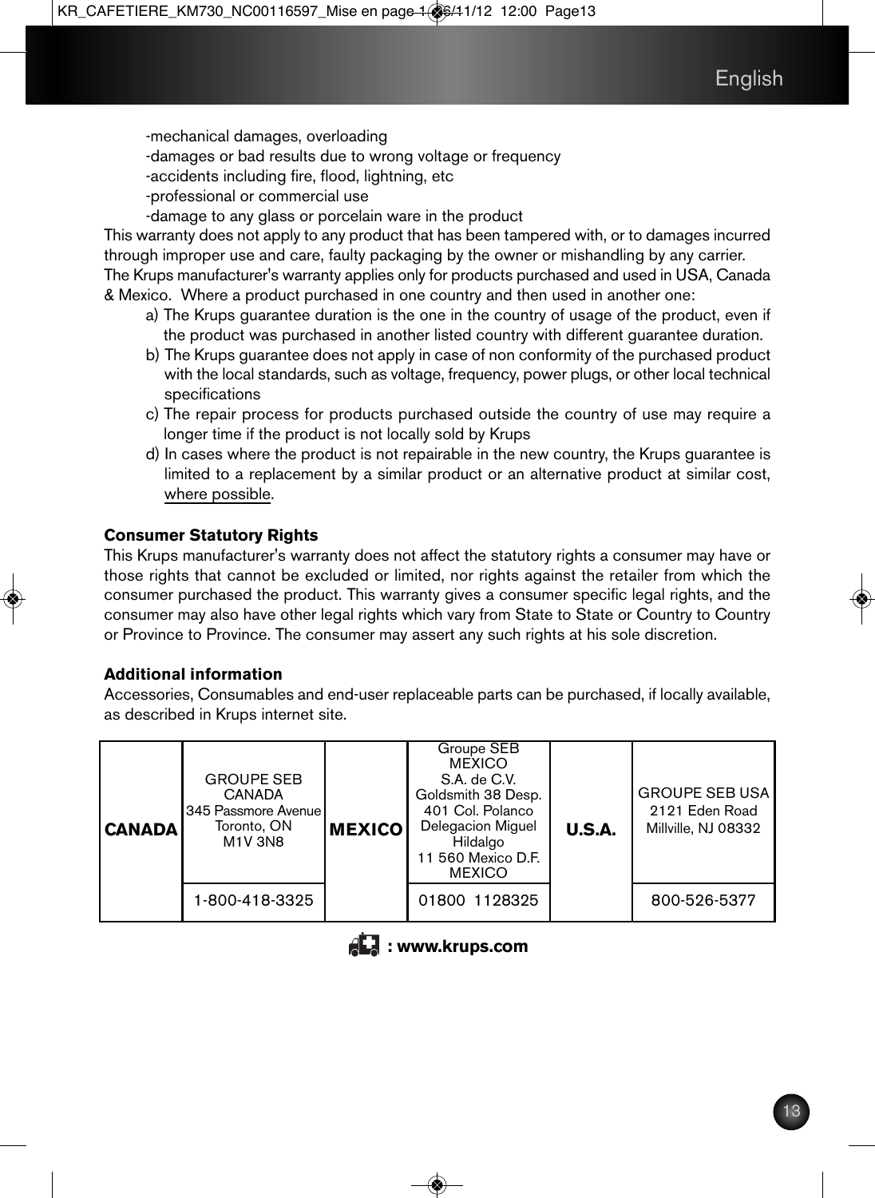-mechanical damages, overloading

-damages or bad results due to wrong voltage or frequency

-accidents including fire, flood, lightning, etc

- -professional or commercial use
- -damage to any glass or porcelain ware in the product

This warranty does not apply to any product that has been tampered with, or to damages incurred through improper use and care, faulty packaging by the owner or mishandling by any carrier. The Krups manufacturer's warranty applies only for products purchased and used in USA, Canada

& Mexico. Where a product purchased in one country and then used in another one:

- a) The Krups guarantee duration is the one in the country of usage of the product, even if the product was purchased in another listed country with different guarantee duration.
- b) The Krups guarantee does not apply in case of non conformity of the purchased product with the local standards, such as voltage, frequency, power plugs, or other local technical specifications
- c) The repair process for products purchased outside the country of use may require a longer time if the product is not locally sold by Krups
- d) In cases where the product is not repairable in the new country, the Krups guarantee is limited to a replacement by a similar product or an alternative product at similar cost, where possible.

#### **Consumer Statutory Rights**

This Krups manufacturer's warranty does not affect the statutory rights a consumer may have or those rights that cannot be excluded or limited, nor rights against the retailer from which the consumer purchased the product. This warranty gives a consumer specific legal rights, and the consumer may also have other legal rights which vary from State to State or Country to Country or Province to Province. The consumer may assert any such rights at his sole discretion.

#### **Additional information**

Accessories, Consumables and end-user replaceable parts can be purchased, if locally available, as described in Krups internet site.

| <b>CANADA</b> | <b>GROUPE SEB</b><br><b>CANADA</b><br>345 Passmore Avenue<br>Toronto, ON<br><b>M1V 3N8</b> | <b>IMEXICO</b> | Groupe SEB<br><b>MEXICO</b><br>S.A. de C.V.<br>Goldsmith 38 Desp.<br>401 Col. Polanco<br>Delegacion Miguel<br>Hildalgo<br>11 560 Mexico D.F.<br><b>MEXICO</b> | U.S.A. | <b>GROUPE SEB USA</b><br>2121 Eden Road<br>Millville, NJ 08332 |
|---------------|--------------------------------------------------------------------------------------------|----------------|---------------------------------------------------------------------------------------------------------------------------------------------------------------|--------|----------------------------------------------------------------|
|               | 1-800-418-3325                                                                             |                | 01800 1128325                                                                                                                                                 |        | 800-526-5377                                                   |

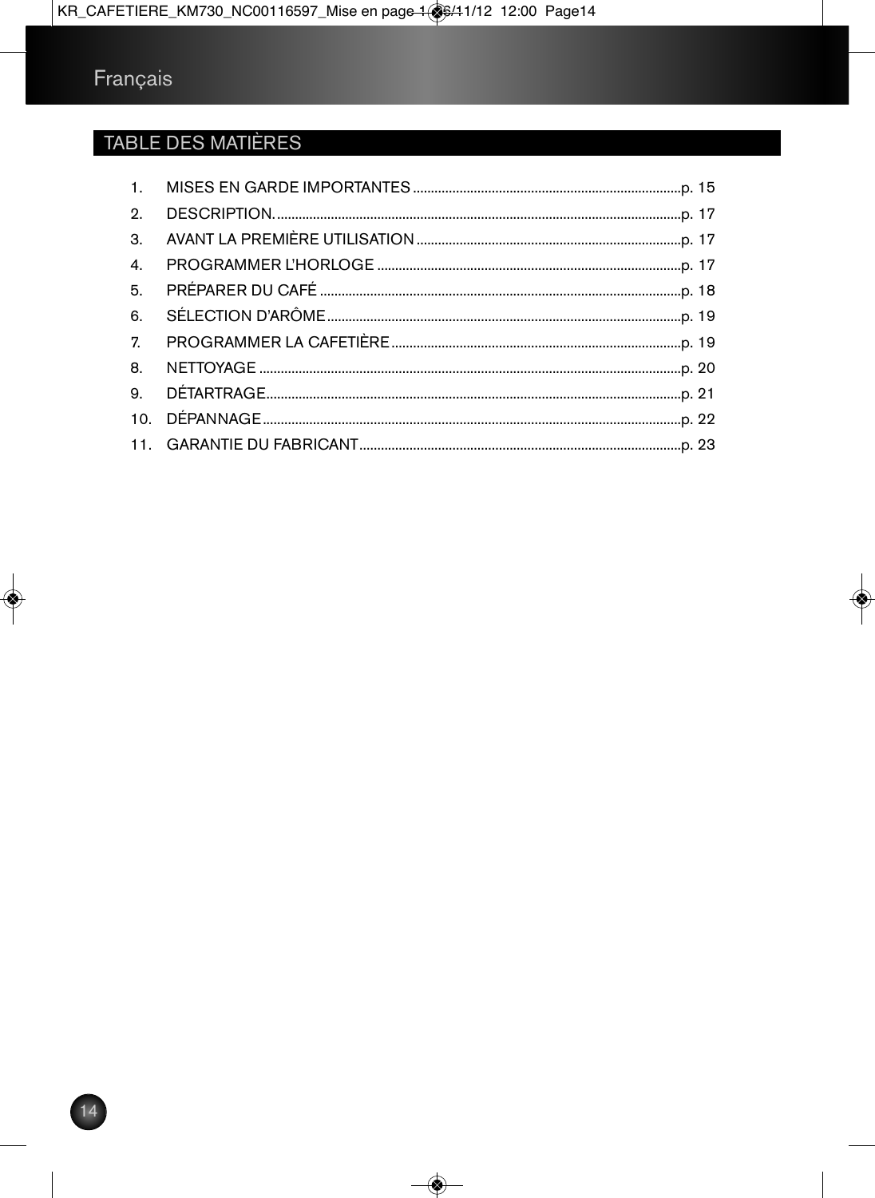## **TABLE DES MATIÈRES**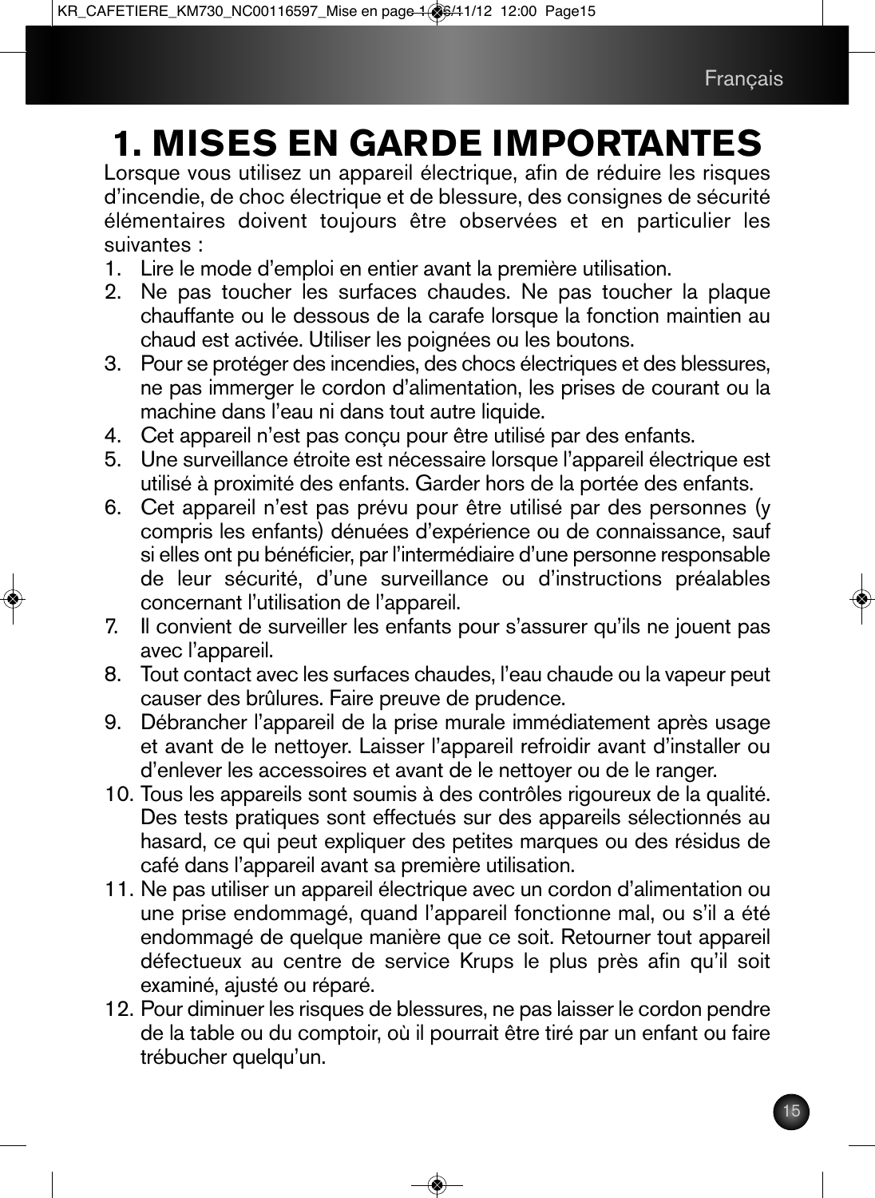# **1. MISES EN GARDE IMPORTANTES**

Lorsque vous utilisez un appareil électrique, afin de réduire les risques d'incendie, de choc électrique et de blessure, des consignes de sécurité élémentaires doivent toujours être observées et en particulier les suivantes :

- 1. Lire le mode d'emploi en entier avant la première utilisation.
- 2. Ne pas toucher les surfaces chaudes. Ne pas toucher la plaque chauffante ou le dessous de la carafe lorsque la fonction maintien au chaud est activée. Utiliser les poignées ou les boutons.
- 3. Pour se protéger des incendies, des chocs électriques et des blessures, ne pas immerger le cordon d'alimentation, les prises de courant ou la machine dans l'eau ni dans tout autre liquide.
- 4. Cet appareil n'est pas conçu pour être utilisé par des enfants.<br>5. Une surveillance étroite est nécessaire lorsque l'appareil électr
- 5. Une surveillance étroite est nécessaire lorsque l'appareil électrique est utilisé à proximité des enfants. Garder hors de la portée des enfants.
- 6. Cet appareil n'est pas prévu pour être utilisé par des personnes (y compris les enfants) dénuées d'expérience ou de connaissance, sauf si elles ont pu bénéficier, par l'intermédiaire d'une personne responsable de leur sécurité, d'une surveillance ou d'instructions préalables concernant l'utilisation de l'appareil.
- 7. Il convient de surveiller les enfants pour s'assurer qu'ils ne jouent pas avec l'appareil.
- 8. Tout contact avec les surfaces chaudes, l'eau chaude ou la vapeur peut causer des brûlures. Faire preuve de prudence.
- 9. Débrancher l'appareil de la prise murale immédiatement après usage et avant de le nettoyer. Laisser l'appareil refroidir avant d'installer ou d'enlever les accessoires et avant de le nettoyer ou de le ranger.
- 10. Tous les appareils sont soumis à des contrôles rigoureux de la qualité. Des tests pratiques sont effectués sur des appareils sélectionnés au hasard, ce qui peut expliquer des petites marques ou des résidus de café dans l'appareil avant sa première utilisation.
- 11. Ne pas utiliser un appareil électrique avec un cordon d'alimentation ou une prise endommagé, quand l'appareil fonctionne mal, ou s'il a été endommagé de quelque manière que ce soit. Retourner tout appareil défectueux au centre de service Krups le plus près afin qu'il soit examiné, ajusté ou réparé.
- 12. Pour diminuer les risques de blessures, ne pas laisser le cordon pendre de la table ou du comptoir, où il pourrait être tiré par un enfant ou faire trébucher quelqu'un.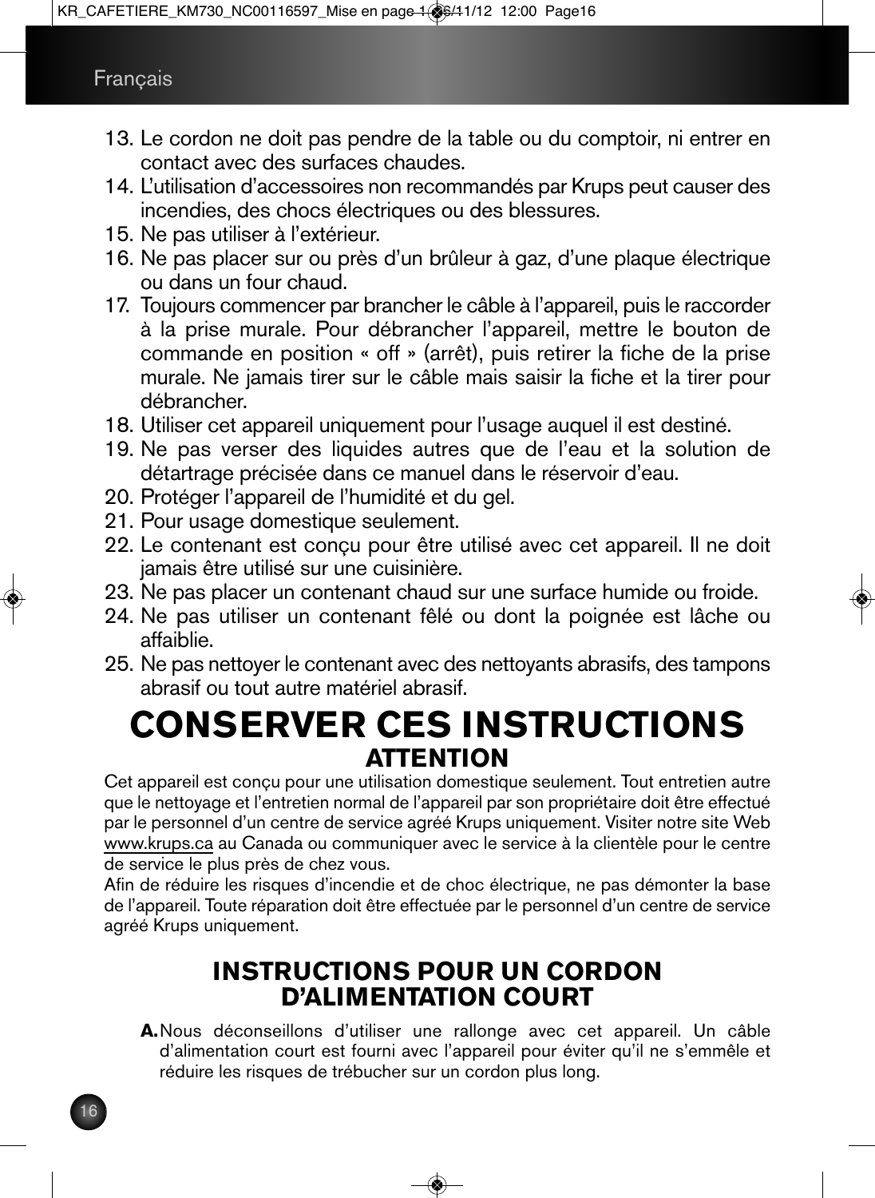- 13. Le cordon ne doit pas pendre de la table ou du comptoir, ni entrer en contact avec des surfaces chaudes.
- 14. L'utilisation d'accessoires non recommandés par Krups peut causer des incendies, des chocs électriques ou des blessures.
- 15. Ne pas utiliser à l'extérieur.
- 16. Ne pas placer sur ou près d'un brûleur à gaz, d'une plaque électrique ou dans un four chaud.
- 17. Toujours commencer par brancher le câble à l'appareil, puis le raccorder à la prise murale. Pour débrancher l'appareil, mettre le bouton de commande en position « off » (arrêt), puis retirer la fiche de la prise murale. Ne jamais tirer sur le câble mais saisir la fiche et la tirer pour débrancher.
- 18. Utiliser cet appareil uniquement pour l'usage auquel il est destiné.
- 19. Ne pas verser des liquides autres que de l'eau et la solution de détartrage précisée dans ce manuel dans le réservoir d'eau.
- 20. Protéger l'appareil de l'humidité et du gel.
- 21. Pour usage domestique seulement.
- 22. Le contenant est conçu pour être utilisé avec cet appareil. Il ne doit jamais être utilisé sur une cuisinière.
- 23. Ne pas placer un contenant chaud sur une surface humide ou froide.
- 24. Ne pas utiliser un contenant fêlé ou dont la poignée est lâche ou affaiblie.
- 25. Ne pas nettoyer le contenant avec des nettoyants abrasifs, des tampons abrasif ou tout autre matériel abrasif.

## **CONSERVER CES INSTRUCTIONS ATTENTION**

Cet appareil est conçu pour une utilisation domestique seulement. Tout entretien autre que le nettoyage et l'entretien normal de l'appareil par son propriétaire doit être effectué par le personnel d'un centre de service agréé Krups uniquement. Visiter notre site Web www.krups.ca au Canada ou communiquer avec le service à la clientèle pour le centre de service le plus près de chez vous.

Afin de réduire les risques d'incendie et de choc électrique, ne pas démonter la base de l'appareil. Toute réparation doit être effectuée par le personnel d'un centre de service agréé Krups uniquement.

## **INSTRUCTIONS POUR UN CORDON D'ALIMENTATION COURT**

**A.**Nous déconseillons d'utiliser une rallonge avec cet appareil. Un câble d'alimentation court est fourni avec l'appareil pour éviter qu'il ne s'emmêle et réduire les risques de trébucher sur un cordon plus long.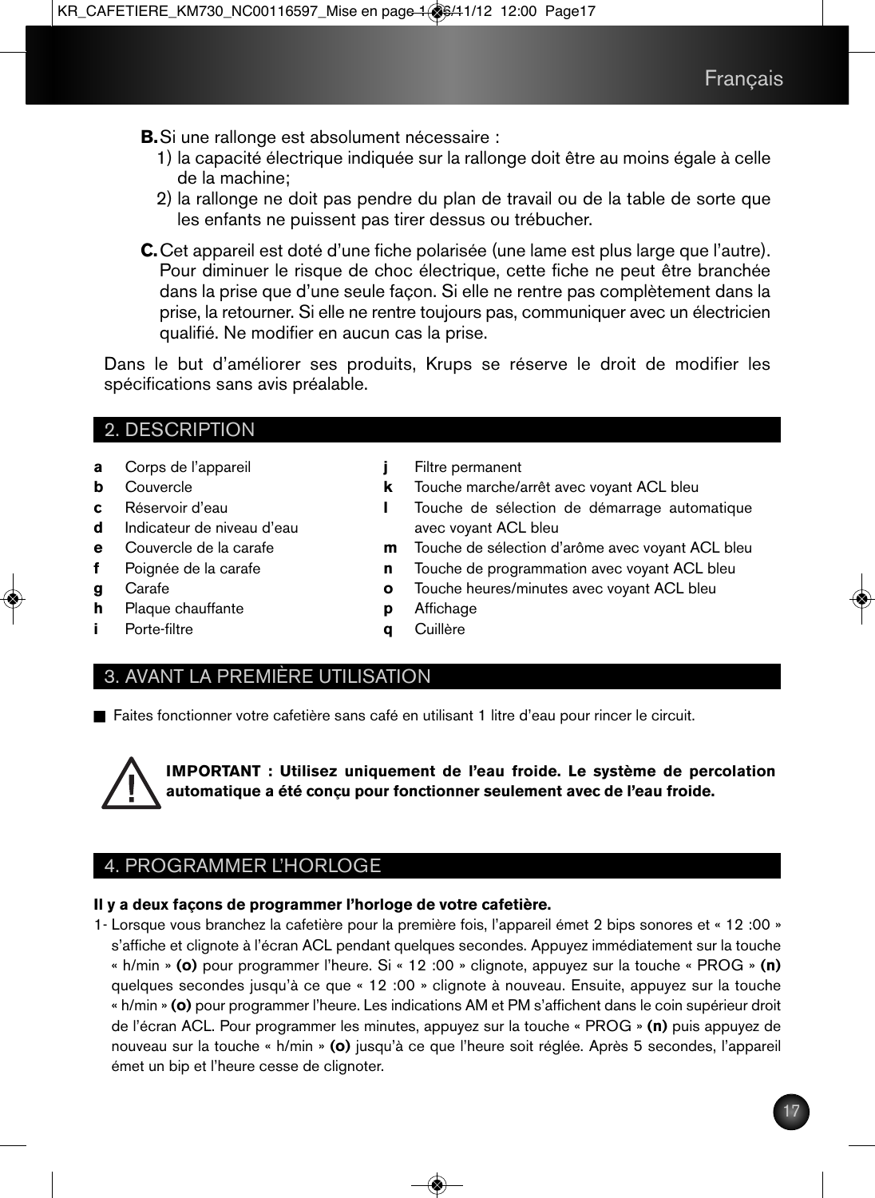- **B.**Si une rallonge est absolument nécessaire :
	- 1) la capacité électrique indiquée sur la rallonge doit être au moins égale à celle de la machine;
	- 2) la rallonge ne doit pas pendre du plan de travail ou de la table de sorte que les enfants ne puissent pas tirer dessus ou trébucher.
- **C.**Cet appareil est doté d'une fiche polarisée (une lame est plus large que l'autre). Pour diminuer le risque de choc électrique, cette fiche ne peut être branchée dans la prise que d'une seule façon. Si elle ne rentre pas complètement dans la prise, la retourner. Si elle ne rentre toujours pas, communiquer avec un électricien qualifié. Ne modifier en aucun cas la prise.

Dans le but d'améliorer ses produits, Krups se réserve le droit de modifier les spécifications sans avis préalable.

## 2. DESCRIPTION

- **a** Corps de l'appareil
- **b** Couvercle
- **c** Réservoir d'eau
- **d** Indicateur de niveau d'eau
- **e** Couvercle de la carafe
- **f** Poignée de la carafe
- **g** Carafe

**i** Porte-filtre

**h** Plaque chauffante

- **j** Filtre permanent
- **k** Touche marche/arrêt avec voyant ACL bleu
- **l** Touche de sélection de démarrage automatique avec voyant ACL bleu
- **m** Touche de sélection d'arôme avec voyant ACL bleu
- **n** Touche de programmation avec voyant ACL bleu
- **o** Touche heures/minutes avec voyant ACL bleu
- **p** Affichage
- **q** Cuillère

## 3. AVANT LA PREMIÈRE UTILISATION

n Faites fonctionner votre cafetière sans café en utilisant 1 litre d'eau pour rincer le circuit.



**IMPORTANT : Utilisez uniquement de l'eau froide. Le système de percolation automatique a été conçu pour fonctionner seulement avec de l'eau froide.**

## 4. PROGRAMMER L'HORLOGE

## **Il y a deux façons de programmer l'horloge de votre cafetière.**

1- Lorsque vous branchez la cafetière pour la première fois, l'appareil émet 2 bips sonores et « 12 :00 » s'affiche et clignote à l'écran ACL pendant quelques secondes. Appuyez immédiatement sur la touche « h/min » **(o)** pour programmer l'heure. Si « 12 :00 » clignote, appuyez sur la touche « PROG » **(n)** quelques secondes jusqu'à ce que « 12 :00 » clignote à nouveau. Ensuite, appuyez sur la touche « h/min » **(o)** pour programmer l'heure. Les indications AM et PM s'affichent dans le coin supérieur droit de l'écran ACL. Pour programmer les minutes, appuyez sur la touche « PROG » **(n)** puis appuyez de nouveau sur la touche « h/min » **(o)** jusqu'à ce que l'heure soit réglée. Après 5 secondes, l'appareil émet un bip et l'heure cesse de clignoter.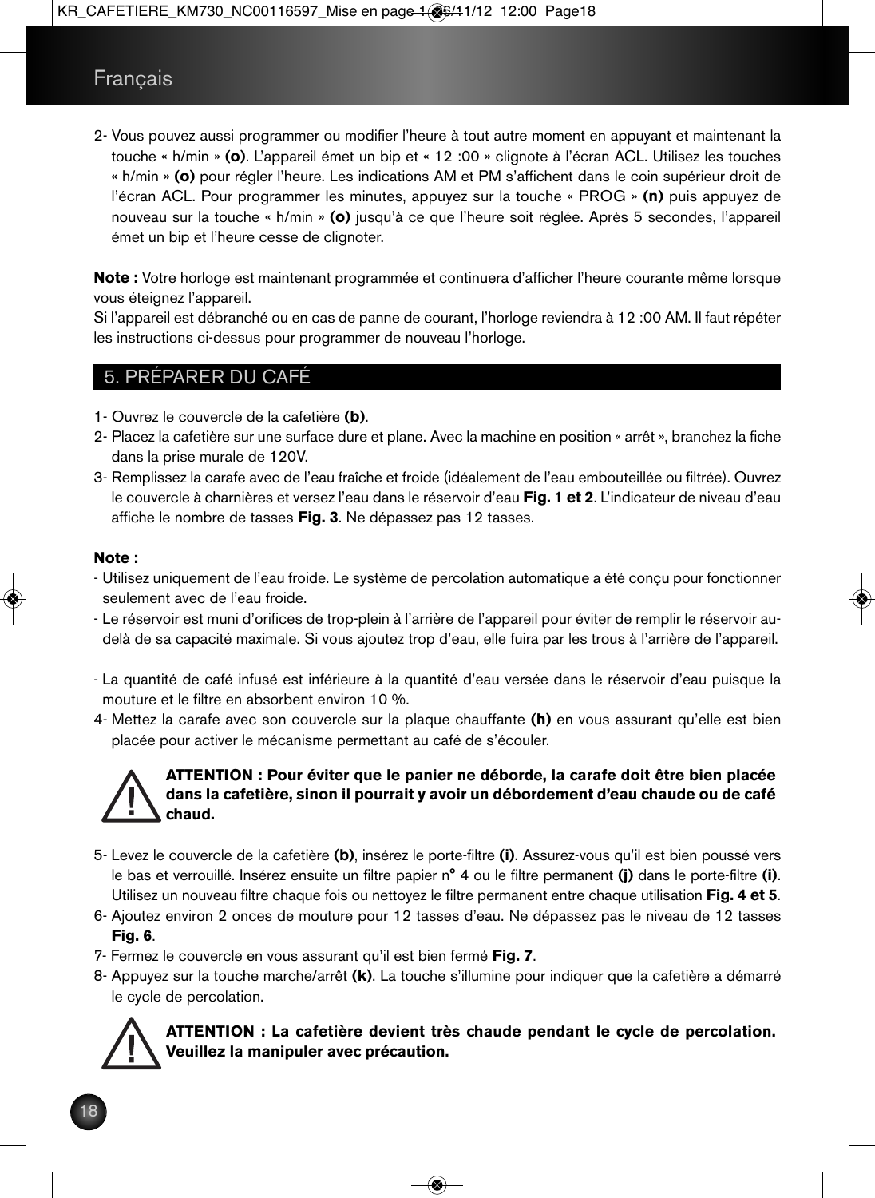## Français

2- Vous pouvez aussi programmer ou modifier l'heure à tout autre moment en appuyant et maintenant la touche « h/min » **(o)**. L'appareil émet un bip et « 12 :00 » clignote à l'écran ACL. Utilisez les touches « h/min » **(o)** pour régler l'heure. Les indications AM et PM s'affichent dans le coin supérieur droit de l'écran ACL. Pour programmer les minutes, appuyez sur la touche « PROG » **(n)** puis appuyez de nouveau sur la touche « h/min » **(o)** jusqu'à ce que l'heure soit réglée. Après 5 secondes, l'appareil émet un bip et l'heure cesse de clignoter.

**Note :** Votre horloge est maintenant programmée et continuera d'afficher l'heure courante même lorsque vous éteignez l'appareil.

Si l'appareil est débranché ou en cas de panne de courant, l'horloge reviendra à 12 :00 AM. Il faut répéter les instructions ci-dessus pour programmer de nouveau l'horloge.

## 5. PRÉPARER DU CAFÉ

- 1- Ouvrez le couvercle de la cafetière **(b)**.
- 2- Placez la cafetière sur une surface dure et plane. Avec la machine en position « arrêt », branchez la fiche dans la prise murale de 120V.
- 3- Remplissez la carafe avec de l'eau fraîche et froide (idéalement de l'eau embouteillée ou filtrée). Ouvrez le couvercle à charnières et versez l'eau dans le réservoir d'eau **Fig. 1 et 2**. L'indicateur de niveau d'eau affiche le nombre de tasses **Fig. 3**. Ne dépassez pas 12 tasses.

#### **Note :**

- Utilisez uniquement de l'eau froide. Le système de percolation automatique a été conçu pour fonctionner seulement avec de l'eau froide.
- Le réservoir est muni d'orifices de trop-plein à l'arrière de l'appareil pour éviter de remplir le réservoir audelà de sa capacité maximale. Si vous ajoutez trop d'eau, elle fuira par les trous à l'arrière de l'appareil.
- La quantité de café infusé est inférieure à la quantité d'eau versée dans le réservoir d'eau puisque la mouture et le filtre en absorbent environ 10 %.
- 4- Mettez la carafe avec son couvercle sur la plaque chauffante **(h)** en vous assurant qu'elle est bien placée pour activer le mécanisme permettant au café de s'écouler.



#### **ATTENTION : Pour éviter que le panier ne déborde, la carafe doit être bien placée dans la cafetière, sinon il pourrait y avoir un débordement d'eau chaude ou de café chaud.**

- 5- Levez le couvercle de la cafetière **(b)**, insérez le porte-filtre **(i)**. Assurez-vous qu'il est bien poussé vers le bas et verrouillé. Insérez ensuite un filtre papier n° 4 ou le filtre permanent **(j)** dans le porte-filtre **(i)**. Utilisez un nouveau filtre chaque fois ou nettoyez le filtre permanent entre chaque utilisation **Fig. 4 et 5**.
- 6- Ajoutez environ 2 onces de mouture pour 12 tasses d'eau. Ne dépassez pas le niveau de 12 tasses **Fig. 6**.
- 7- Fermez le couvercle en vous assurant qu'il est bien fermé **Fig. 7**.
- 8- Appuyez sur la touche marche/arrêt **(k)**. La touche s'illumine pour indiquer que la cafetière a démarré le cycle de percolation.



### **ATTENTION : La cafetière devient très chaude pendant le cycle de percolation. Veuillez la manipuler avec précaution.**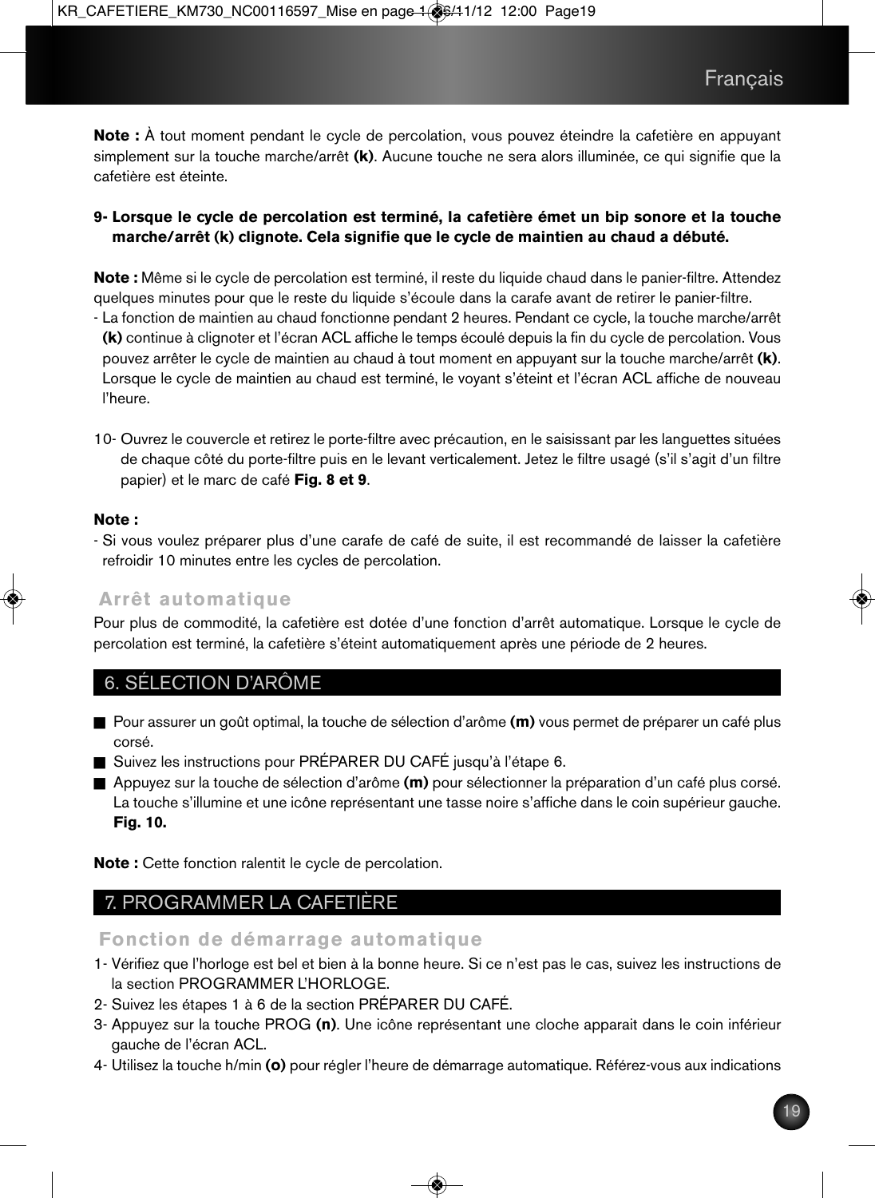**Note :** À tout moment pendant le cycle de percolation, vous pouvez éteindre la cafetière en appuyant simplement sur la touche marche/arrêt **(k)**. Aucune touche ne sera alors illuminée, ce qui signifie que la cafetière est éteinte.

#### **9- Lorsque le cycle de percolation est terminé, la cafetière émet un bip sonore et la touche marche/arrêt (k) clignote. Cela signifie que le cycle de maintien au chaud a débuté.**

**Note :** Même si le cycle de percolation est terminé, il reste du liquide chaud dans le panier-filtre. Attendez quelques minutes pour que le reste du liquide s'écoule dans la carafe avant de retirer le panier-filtre.

- La fonction de maintien au chaud fonctionne pendant 2 heures. Pendant ce cycle, la touche marche/arrêt **(k)** continue à clignoter et l'écran ACL affiche le temps écoulé depuis la fin du cycle de percolation. Vous pouvez arrêter le cycle de maintien au chaud à tout moment en appuyant sur la touche marche/arrêt **(k)**. Lorsque le cycle de maintien au chaud est terminé, le voyant s'éteint et l'écran ACL affiche de nouveau l'heure.

10- Ouvrez le couvercle et retirez le porte-filtre avec précaution, en le saisissant par les languettes situées de chaque côté du porte-filtre puis en le levant verticalement. Jetez le filtre usagé (s'il s'agit d'un filtre papier) et le marc de café **Fig. 8 et 9**.

#### **Note :**

- Si vous voulez préparer plus d'une carafe de café de suite, il est recommandé de laisser la cafetière refroidir 10 minutes entre les cycles de percolation.

### **Arrêt automatique**

Pour plus de commodité, la cafetière est dotée d'une fonction d'arrêt automatique. Lorsque le cycle de percolation est terminé, la cafetière s'éteint automatiquement après une période de 2 heures.

## 6. SÉLECTION D'ARÔME

- Pour assurer un goût optimal, la touche de sélection d'arôme **(m)** vous permet de préparer un café plus corsé.
- Suivez les instructions pour PRÉPARER DU CAFÉ jusqu'à l'étape 6.
- Appuyez sur la touche de sélection d'arôme **(m)** pour sélectionner la préparation d'un café plus corsé. La touche s'illumine et une icône représentant une tasse noire s'affiche dans le coin supérieur gauche. **Fig. 10.**

**Note :** Cette fonction ralentit le cycle de percolation.

## 7. PROGRAMMER LA CAFETIERE

## **Fonction de démarrage automatique**

- 1- Vérifiez que l'horloge est bel et bien à la bonne heure. Si ce n'est pas le cas, suivez les instructions de la section PROGRAMMER L'HORLOGE.
- 2- Suivez les étapes 1 à 6 de la section PRÉPARER DU CAFÉ.
- 3- Appuyez sur la touche PROG **(n)**. Une icône représentant une cloche apparait dans le coin inférieur gauche de l'écran ACL.
- 4- Utilisez la touche h/min **(o)** pour régler l'heure de démarrage automatique. Référez-vous aux indications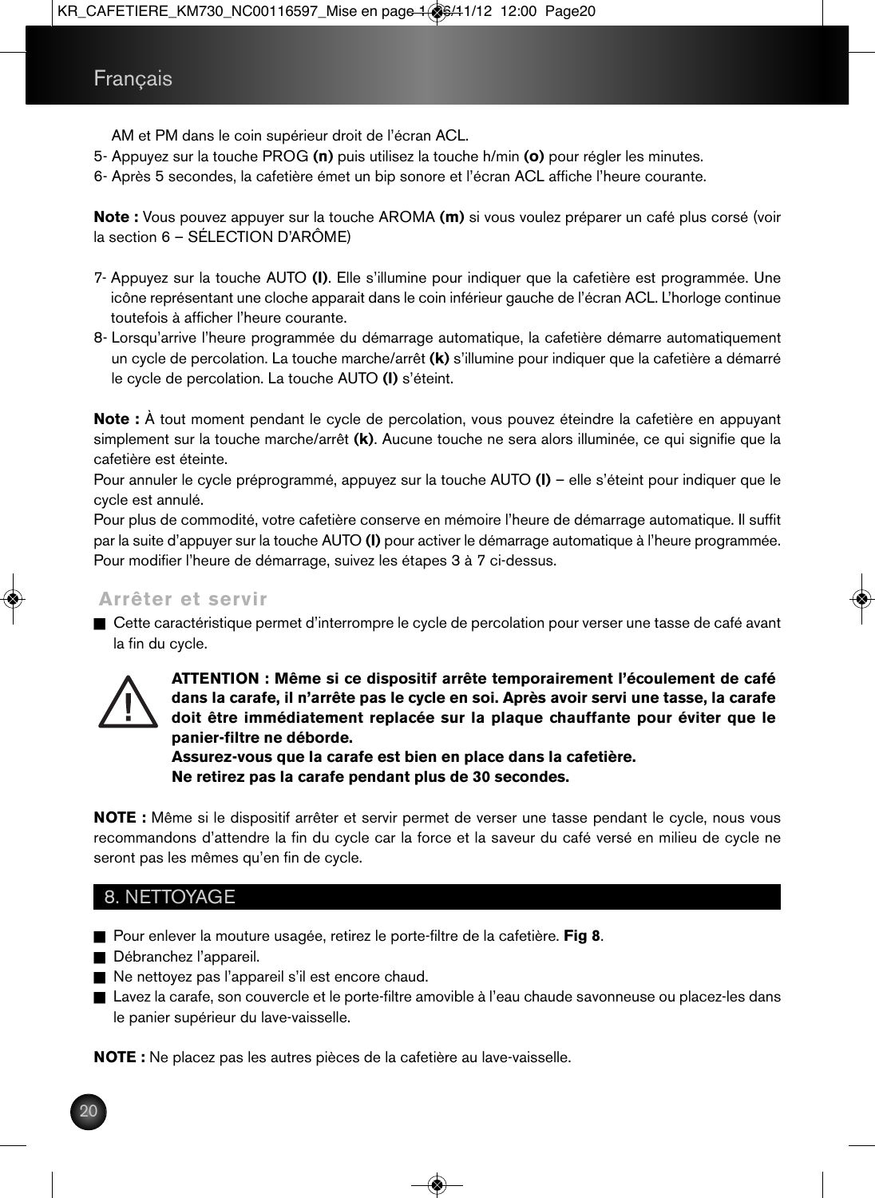AM et PM dans le coin supérieur droit de l'écran ACL.

- 5- Appuyez sur la touche PROG **(n)** puis utilisez la touche h/min **(o)** pour régler les minutes.
- 6- Après 5 secondes, la cafetière émet un bip sonore et l'écran ACL affiche l'heure courante.

**Note :** Vous pouvez appuyer sur la touche AROMA **(m)** si vous voulez préparer un café plus corsé (voir la section 6 – SÉLECTION D'ARÔME)

- 7- Appuyez sur la touche AUTO **(l)**. Elle s'illumine pour indiquer que la cafetière est programmée. Une icône représentant une cloche apparait dans le coin inférieur gauche de l'écran ACL. L'horloge continue toutefois à afficher l'heure courante.
- 8- Lorsqu'arrive l'heure programmée du démarrage automatique, la cafetière démarre automatiquement un cycle de percolation. La touche marche/arrêt **(k)** s'illumine pour indiquer que la cafetière a démarré le cycle de percolation. La touche AUTO **(l)** s'éteint.

**Note :** À tout moment pendant le cycle de percolation, vous pouvez éteindre la cafetière en appuyant simplement sur la touche marche/arrêt **(k)**. Aucune touche ne sera alors illuminée, ce qui signifie que la cafetière est éteinte.

Pour annuler le cycle préprogrammé, appuyez sur la touche AUTO **(l)** – elle s'éteint pour indiquer que le cycle est annulé.

Pour plus de commodité, votre cafetière conserve en mémoire l'heure de démarrage automatique. Il suffit par la suite d'appuyer sur la touche AUTO **(l)** pour activer le démarrage automatique à l'heure programmée. Pour modifier l'heure de démarrage, suivez les étapes 3 à 7 ci-dessus.

### **Arrêter et servir**

n Cette caractéristique permet d'interrompre le cycle de percolation pour verser une tasse de café avant la fin du cycle.



 **ATTENTION : Même si ce dispositif arrête temporairement l'écoulement de café dans la carafe, il n'arrête pas le cycle en soi. Après avoir servi une tasse, la carafe doit être immédiatement replacée sur la plaque chauffante pour éviter que le panier-filtre ne déborde.**

 **Assurez-vous que la carafe est bien en place dans la cafetière. Ne retirez pas la carafe pendant plus de 30 secondes.**

**NOTE :** Même si le dispositif arrêter et servir permet de verser une tasse pendant le cycle, nous vous recommandons d'attendre la fin du cycle car la force et la saveur du café versé en milieu de cycle ne seront pas les mêmes qu'en fin de cycle.

## 8. NETTOYAGE

- Pour enlever la mouture usagée, retirez le porte-filtre de la cafetière. Fig 8.
- Débranchez l'appareil.
- Ne nettoyez pas l'appareil s'il est encore chaud.
- n Lavez la carafe, son couvercle et le porte-filtre amovible à l'eau chaude savonneuse ou placez-les dans le panier supérieur du lave-vaisselle.

**NOTE :** Ne placez pas les autres pièces de la cafetière au lave-vaisselle.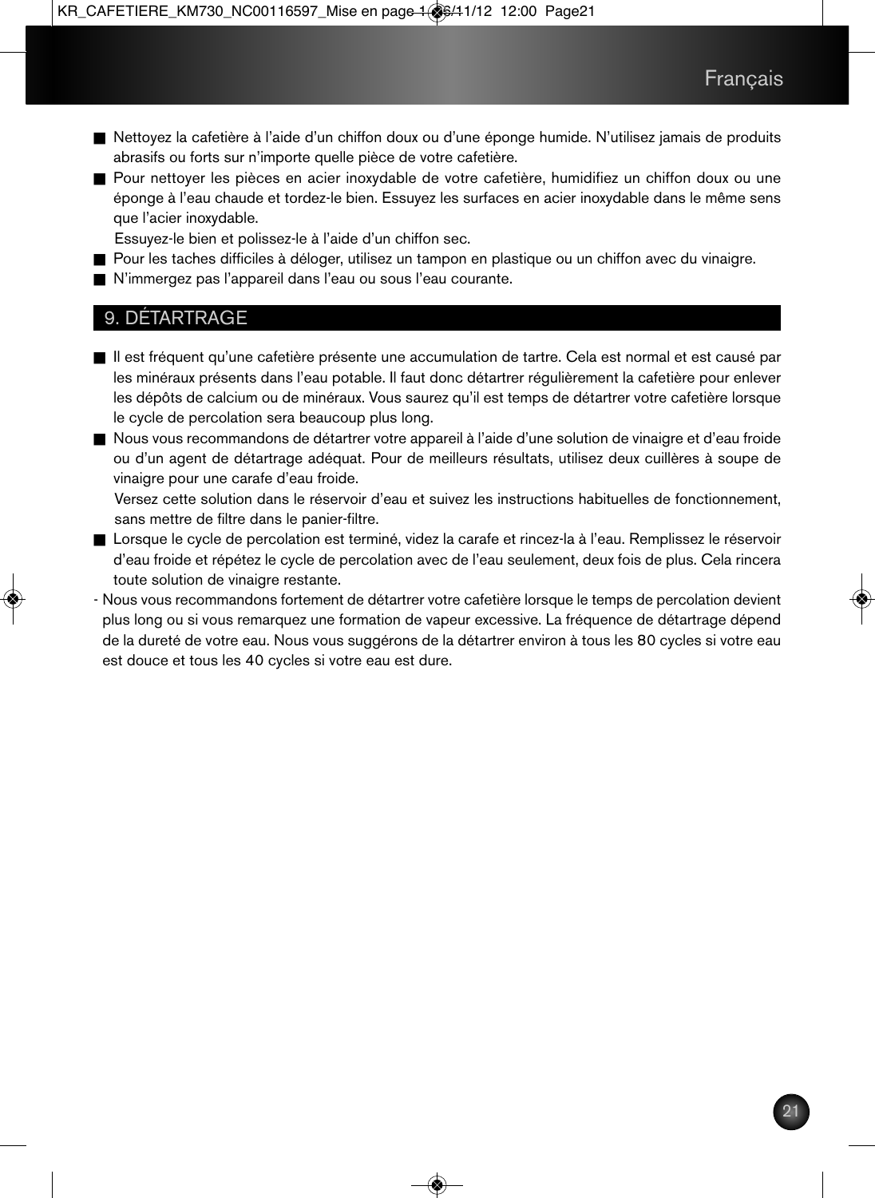- n Nettoyez la cafetière à l'aide d'un chiffon doux ou d'une éponge humide. N'utilisez jamais de produits abrasifs ou forts sur n'importe quelle pièce de votre cafetière.
- n Pour nettoyer les pièces en acier inoxydable de votre cafetière, humidifiez un chiffon doux ou une éponge à l'eau chaude et tordez-le bien. Essuyez les surfaces en acier inoxydable dans le même sens que l'acier inoxydable.
	- Essuyez-le bien et polissez-le à l'aide d'un chiffon sec.
- n Pour les taches difficiles à déloger, utilisez un tampon en plastique ou un chiffon avec du vinaigre.
- n N'immergez pas l'appareil dans l'eau ou sous l'eau courante.

### 9. DÉTARTRAGE

- n Il est fréquent qu'une cafetière présente une accumulation de tartre. Cela est normal et est causé par les minéraux présents dans l'eau potable. Il faut donc détartrer régulièrement la cafetière pour enlever les dépôts de calcium ou de minéraux. Vous saurez qu'il est temps de détartrer votre cafetière lorsque le cycle de percolation sera beaucoup plus long.
- n Nous vous recommandons de détartrer votre appareil à l'aide d'une solution de vinaigre et d'eau froide ou d'un agent de détartrage adéquat. Pour de meilleurs résultats, utilisez deux cuillères à soupe de vinaigre pour une carafe d'eau froide.

Versez cette solution dans le réservoir d'eau et suivez les instructions habituelles de fonctionnement, sans mettre de filtre dans le panier-filtre.

- n Lorsque le cycle de percolation est terminé, videz la carafe et rincez-la à l'eau. Remplissez le réservoir d'eau froide et répétez le cycle de percolation avec de l'eau seulement, deux fois de plus. Cela rincera toute solution de vinaigre restante.
- Nous vous recommandons fortement de détartrer votre cafetière lorsque le temps de percolation devient plus long ou si vous remarquez une formation de vapeur excessive. La fréquence de détartrage dépend de la dureté de votre eau. Nous vous suggérons de la détartrer environ à tous les 80 cycles si votre eau est douce et tous les 40 cycles si votre eau est dure.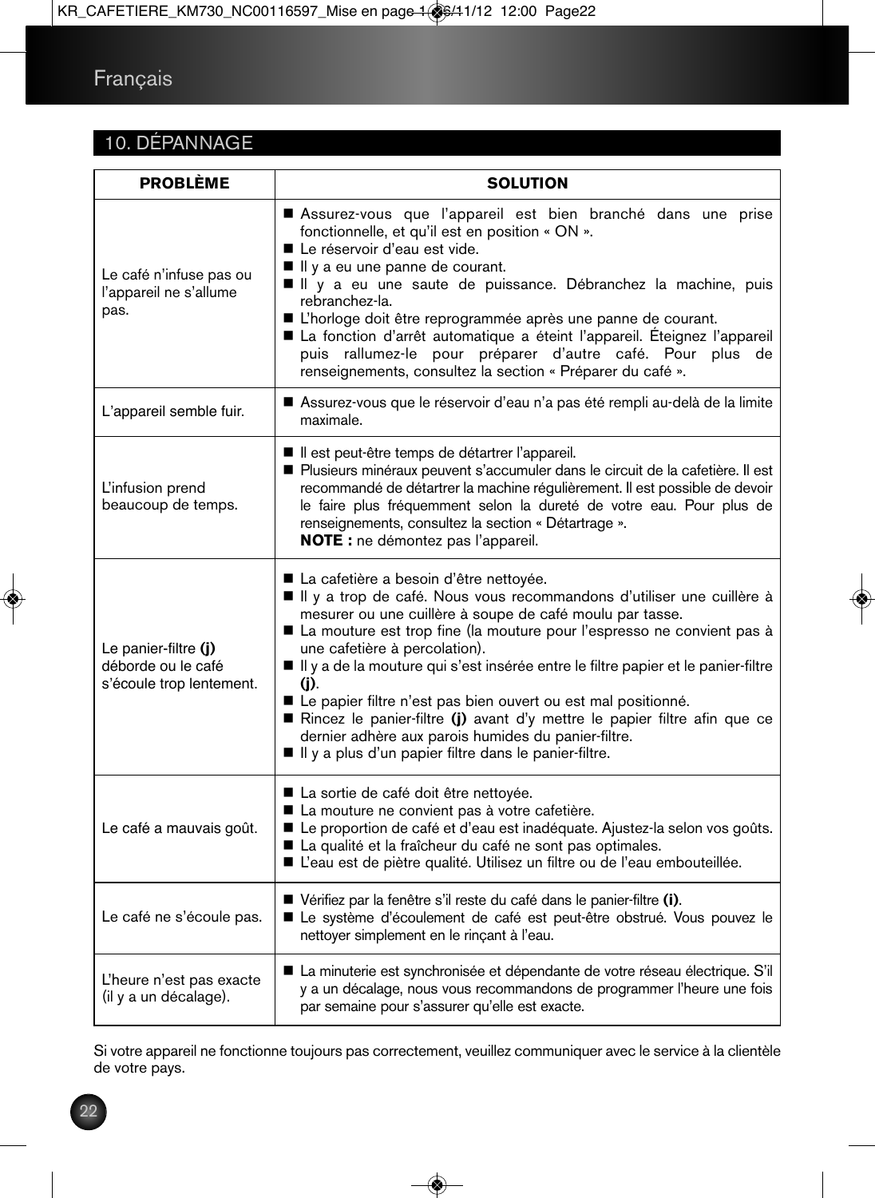## 10. DÉPANNAGE

| <b>PROBLÈME</b>                                                        | <b>SOLUTION</b>                                                                                                                                                                                                                                                                                                                                                                                                                                                                                                                                                                                                                                     |
|------------------------------------------------------------------------|-----------------------------------------------------------------------------------------------------------------------------------------------------------------------------------------------------------------------------------------------------------------------------------------------------------------------------------------------------------------------------------------------------------------------------------------------------------------------------------------------------------------------------------------------------------------------------------------------------------------------------------------------------|
| Le café n'infuse pas ou<br>l'appareil ne s'allume<br>pas.              | Assurez-vous que l'appareil est bien branché dans une prise<br>fonctionnelle, et qu'il est en position « ON ».<br>Le réservoir d'eau est vide.<br>I Il y a eu une panne de courant.<br>Il y a eu une saute de puissance. Débranchez la machine, puis<br>rebranchez-la.<br>L'horloge doit être reprogrammée après une panne de courant.<br>La fonction d'arrêt automatique a éteint l'appareil. Éteignez l'appareil<br>puis rallumez-le pour préparer d'autre café. Pour plus de<br>renseignements, consultez la section « Préparer du café ».                                                                                                       |
| L'appareil semble fuir.                                                | Assurez-vous que le réservoir d'eau n'a pas été rempli au-delà de la limite<br>maximale.                                                                                                                                                                                                                                                                                                                                                                                                                                                                                                                                                            |
| L'infusion prend<br>beaucoup de temps.                                 | Il est peut-être temps de détartrer l'appareil.<br>Plusieurs minéraux peuvent s'accumuler dans le circuit de la cafetière. Il est<br>recommandé de détartrer la machine régulièrement. Il est possible de devoir<br>le faire plus fréquemment selon la dureté de votre eau. Pour plus de<br>renseignements, consultez la section « Détartrage ».<br>NOTE : ne démontez pas l'appareil.                                                                                                                                                                                                                                                              |
| Le panier-filtre (j)<br>déborde ou le café<br>s'écoule trop lentement. | La cafetière a besoin d'être nettoyée.<br>Il y a trop de café. Nous vous recommandons d'utiliser une cuillère à<br>mesurer ou une cuillère à soupe de café moulu par tasse.<br>La mouture est trop fine (la mouture pour l'espresso ne convient pas à<br>une cafetière à percolation).<br>Il y a de la mouture qui s'est insérée entre le filtre papier et le panier-filtre<br>(i).<br>Le papier filtre n'est pas bien ouvert ou est mal positionné.<br>Rincez le panier-filtre (j) avant d'y mettre le papier filtre afin que ce<br>dernier adhère aux parois humides du panier-filtre.<br>I Il y a plus d'un papier filtre dans le panier-filtre. |
| Le café a mauvais goût.                                                | La sortie de café doit être nettoyée.<br>La mouture ne convient pas à votre cafetière.<br>Le proportion de café et d'eau est inadéquate. Ajustez-la selon vos goûts.<br>La qualité et la fraîcheur du café ne sont pas optimales.<br>L'eau est de piètre qualité. Utilisez un filtre ou de l'eau embouteillée.                                                                                                                                                                                                                                                                                                                                      |
| Le café ne s'écoule pas.                                               | Vérifiez par la fenêtre s'il reste du café dans le panier-filtre (i).<br>Le système d'écoulement de café est peut-être obstrué. Vous pouvez le<br>nettoyer simplement en le rinçant à l'eau.                                                                                                                                                                                                                                                                                                                                                                                                                                                        |
| L'heure n'est pas exacte<br>(il y a un décalage).                      | La minuterie est synchronisée et dépendante de votre réseau électrique. S'il<br>y a un décalage, nous vous recommandons de programmer l'heure une fois<br>par semaine pour s'assurer qu'elle est exacte.                                                                                                                                                                                                                                                                                                                                                                                                                                            |

Si votre appareil ne fonctionne toujours pas correctement, veuillez communiquer avec le service à la clientèle de votre pays.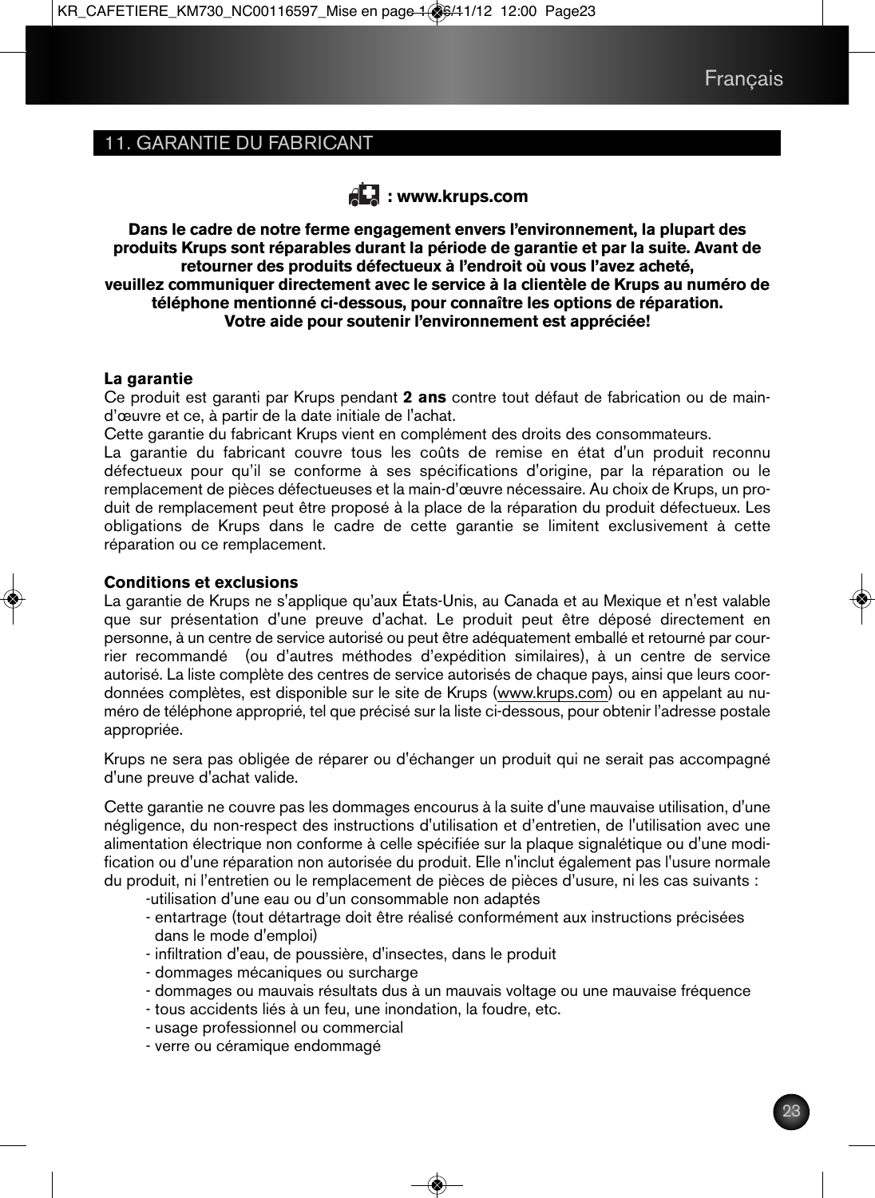## 11. GARANTIE DU FABRICANT



**Dans le cadre de notre ferme engagement envers l'environnement, la plupart des produits Krups sont réparables durant la période de garantie et par la suite. Avant de retourner des produits défectueux à l'endroit où vous l'avez acheté, veuillez communiquer directement avec le service à la clientèle de Krups au numéro de téléphone mentionné ci-dessous, pour connaître les options de réparation. Votre aide pour soutenir l'environnement est appréciée!**

#### **La garantie**

Ce produit est garanti par Krups pendant **2 ans** contre tout défaut de fabrication ou de maind'œuvre et ce, à partir de la date initiale de l'achat.

Cette garantie du fabricant Krups vient en complément des droits des consommateurs.

La garantie du fabricant couvre tous les coûts de remise en état d'un produit reconnu défectueux pour qu'il se conforme à ses spécifications d'origine, par la réparation ou le remplacement de pièces défectueuses et la main-d'œuvre nécessaire. Au choix de Krups, un produit de remplacement peut être proposé à la place de la réparation du produit défectueux. Les obligations de Krups dans le cadre de cette garantie se limitent exclusivement à cette réparation ou ce remplacement.

#### **Conditions et exclusions**

La garantie de Krups ne s'applique qu'aux États-Unis, au Canada et au Mexique et n'est valable que sur présentation d'une preuve d'achat. Le produit peut être déposé directement en personne, à un centre de service autorisé ou peut être adéquatement emballé et retourné par courrier recommandé (ou d'autres méthodes d'expédition similaires), à un centre de service autorisé. La liste complète des centres de service autorisés de chaque pays, ainsi que leurs coordonnées complètes, est disponible sur le site de Krups (www.krups.com) ou en appelant au numéro de téléphone approprié, tel que précisé sur la liste ci-dessous, pour obtenir l'adresse postale appropriée.

Krups ne sera pas obligée de réparer ou d'échanger un produit qui ne serait pas accompagné d'une preuve d'achat valide.

Cette garantie ne couvre pas les dommages encourus à la suite d'une mauvaise utilisation, d'une négligence, du non-respect des instructions d'utilisation et d'entretien, de l'utilisation avec une alimentation électrique non conforme à celle spécifiée sur la plaque signalétique ou d'une modification ou d'une réparation non autorisée du produit. Elle n'inclut également pas l'usure normale du produit, ni l'entretien ou le remplacement de pièces de pièces d'usure, ni les cas suivants :

-utilisation d'une eau ou d'un consommable non adaptés

- entartrage (tout détartrage doit être réalisé conformément aux instructions précisées dans le mode d'emploi)
- infiltration d'eau, de poussière, d'insectes, dans le produit
- dommages mécaniques ou surcharge
- dommages ou mauvais résultats dus à un mauvais voltage ou une mauvaise fréquence
- tous accidents liés à un feu, une inondation, la foudre, etc.
- usage professionnel ou commercial
- verre ou céramique endommagé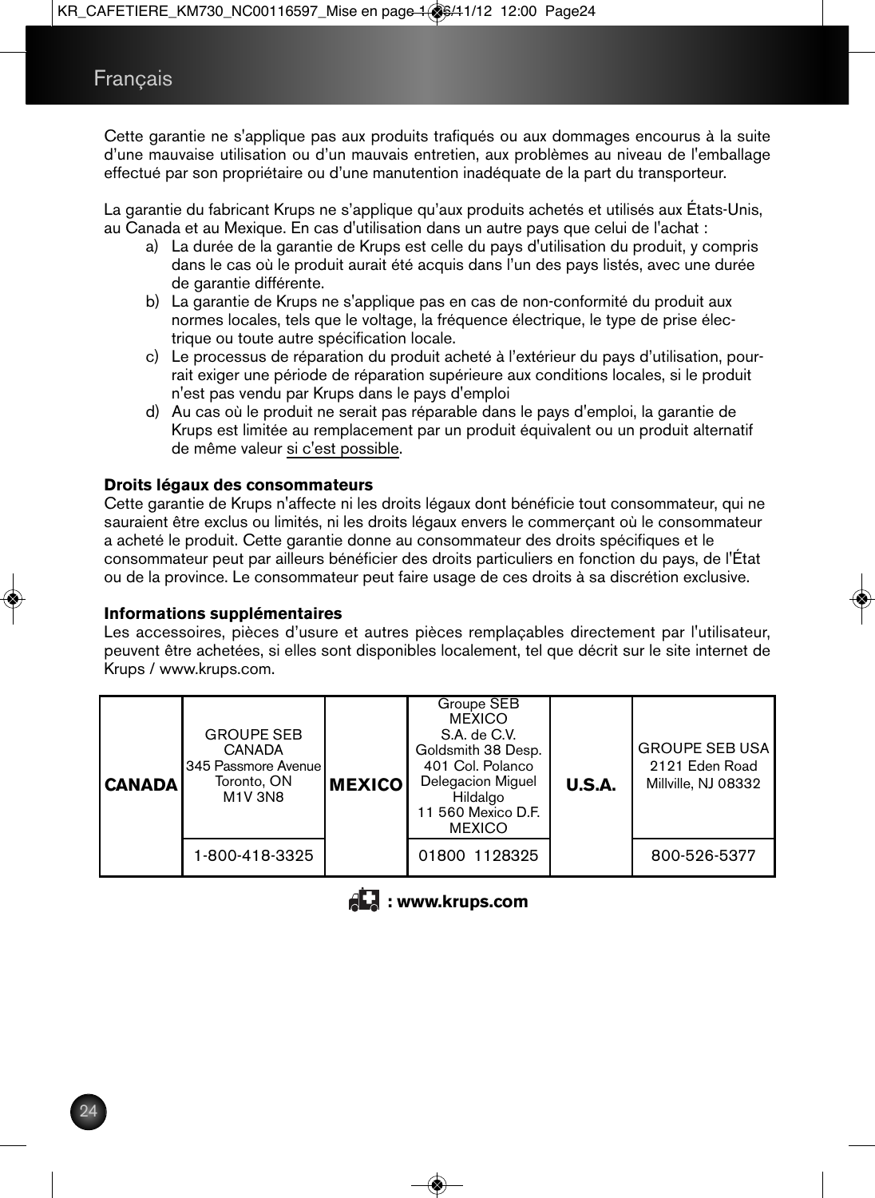Cette garantie ne s'applique pas aux produits trafiqués ou aux dommages encourus à la suite d'une mauvaise utilisation ou d'un mauvais entretien, aux problèmes au niveau de l'emballage effectué par son propriétaire ou d'une manutention inadéquate de la part du transporteur.

La garantie du fabricant Krups ne s'applique qu'aux produits achetés et utilisés aux États-Unis, au Canada et au Mexique. En cas d'utilisation dans un autre pays que celui de l'achat :

- a) La durée de la garantie de Krups est celle du pays d'utilisation du produit, y compris dans le cas où le produit aurait été acquis dans l'un des pays listés, avec une durée de garantie différente.
- b) La garantie de Krups ne s'applique pas en cas de non-conformité du produit aux normes locales, tels que le voltage, la fréquence électrique, le type de prise électrique ou toute autre spécification locale.
- c) Le processus de réparation du produit acheté à l'extérieur du pays d'utilisation, pourrait exiger une période de réparation supérieure aux conditions locales, si le produit n'est pas vendu par Krups dans le pays d'emploi
- d) Au cas où le produit ne serait pas réparable dans le pays d'emploi, la garantie de Krups est limitée au remplacement par un produit équivalent ou un produit alternatif de même valeur si c'est possible.

#### **Droits légaux des consommateurs**

Cette garantie de Krups n'affecte ni les droits légaux dont bénéficie tout consommateur, qui ne sauraient être exclus ou limités, ni les droits légaux envers le commerçant où le consommateur a acheté le produit. Cette garantie donne au consommateur des droits spécifiques et le consommateur peut par ailleurs bénéficier des droits particuliers en fonction du pays, de l'État ou de la province. Le consommateur peut faire usage de ces droits à sa discrétion exclusive.

#### **Informations supplémentaires**

Les accessoires, pièces d'usure et autres pièces remplaçables directement par l'utilisateur, peuvent être achetées, si elles sont disponibles localement, tel que décrit sur le site internet de Krups / www.krups.com.

| <b>CANADA</b> | <b>GROUPE SEB</b><br><b>CANADA</b><br>345 Passmore Avenue<br>Toronto, ON<br><b>M1V 3N8</b> | <b>MEXICO</b> | Groupe SEB<br><b>MEXICO</b><br>S.A. de C.V.<br>Goldsmith 38 Desp.<br>401 Col. Polanco<br><b>Delegacion Miguel</b><br>Hildalgo<br>11 560 Mexico D.F.<br><b>MEXICO</b> | U.S.A. | <b>GROUPE SEB USA</b><br>2121 Eden Road<br>Millville, NJ 08332 |
|---------------|--------------------------------------------------------------------------------------------|---------------|----------------------------------------------------------------------------------------------------------------------------------------------------------------------|--------|----------------------------------------------------------------|
|               | 1-800-418-3325                                                                             |               | 01800 1128325                                                                                                                                                        |        | 800-526-5377                                                   |

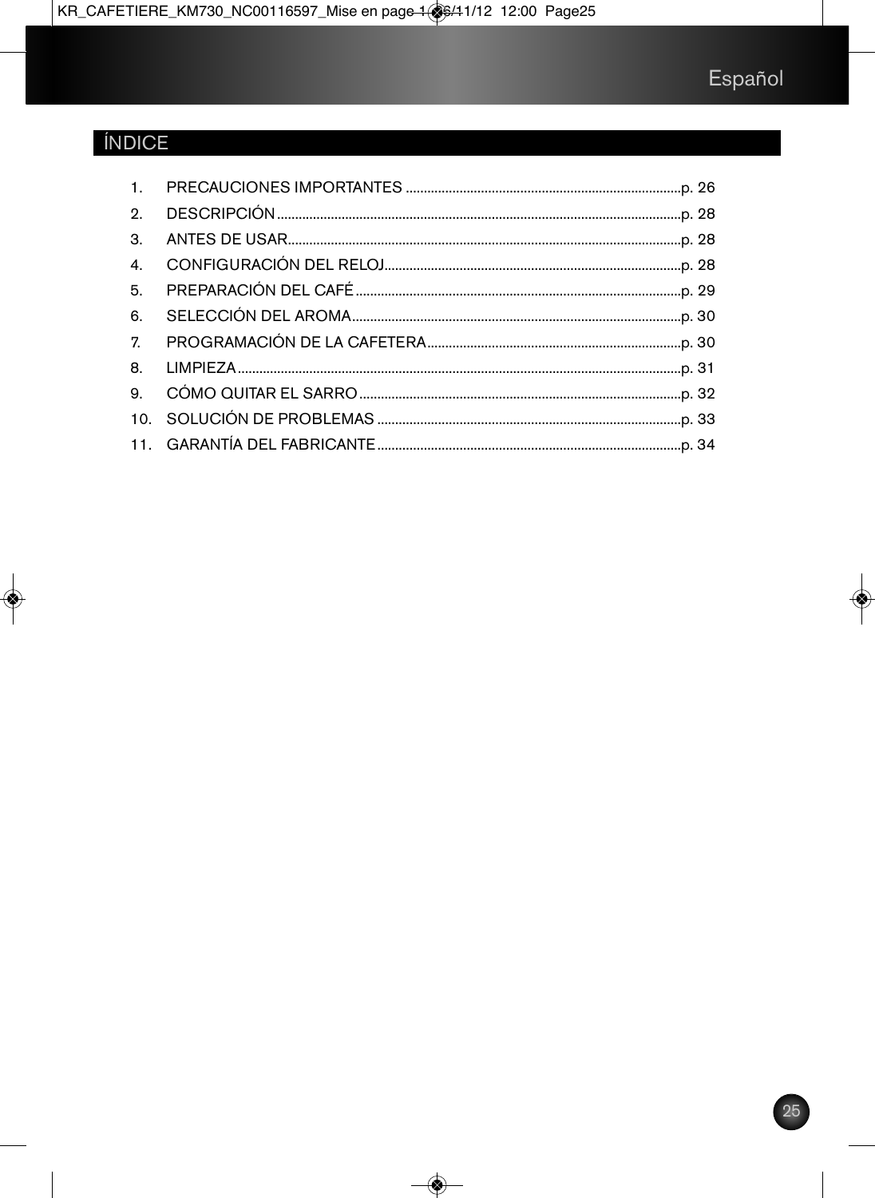## **ÍNDICE**

| 5. |  |
|----|--|
| 6. |  |
|    |  |
|    |  |
|    |  |
|    |  |
|    |  |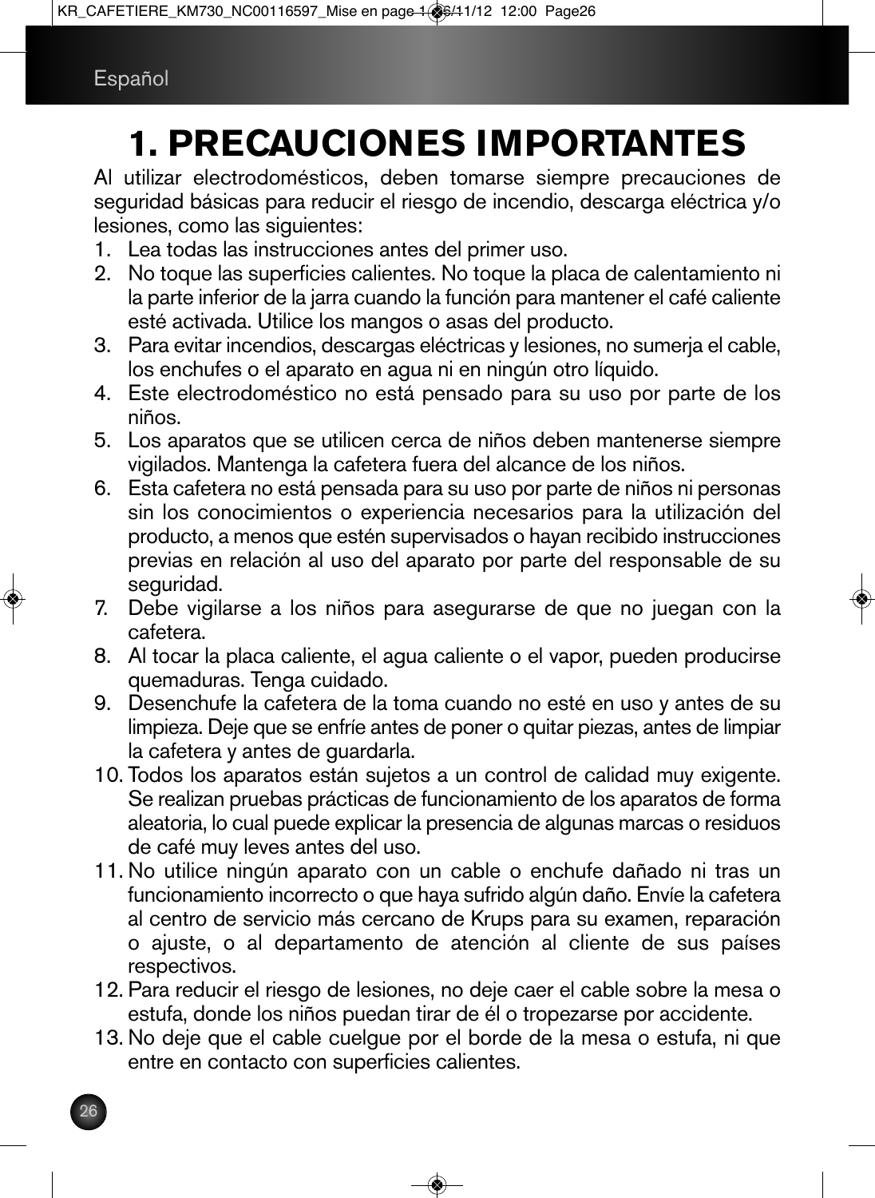# **1. PRECAUCIONES IMPORTANTES**

Al utilizar electrodomésticos, deben tomarse siempre precauciones de seguridad básicas para reducir el riesgo de incendio, descarga eléctrica y/o lesiones, como las siguientes:

- 1. Lea todas las instrucciones antes del primer uso.
- 2. No toque las superficies calientes. No toque la placa de calentamiento ni la parte inferior de la jarra cuando la función para mantener el café caliente esté activada. Utilice los mangos o asas del producto.
- 3. Para evitar incendios, descargas eléctricas y lesiones, no sumerja el cable, los enchufes o el aparato en agua ni en ningún otro líquido.
- 4. Este electrodoméstico no está pensado para su uso por parte de los niños.
- 5. Los aparatos que se utilicen cerca de niños deben mantenerse siempre vigilados. Mantenga la cafetera fuera del alcance de los niños.
- 6. Esta cafetera no está pensada para su uso por parte de niños ni personas sin los conocimientos o experiencia necesarios para la utilización del producto, a menos que estén supervisados o hayan recibido instrucciones previas en relación al uso del aparato por parte del responsable de su seguridad.
- 7. Debe vigilarse a los niños para asegurarse de que no juegan con la cafetera.
- 8. Al tocar la placa caliente, el agua caliente o el vapor, pueden producirse quemaduras. Tenga cuidado.
- 9. Desenchufe la cafetera de la toma cuando no esté en uso y antes de su limpieza. Deje que se enfríe antes de poner o quitar piezas, antes de limpiar la cafetera y antes de guardarla.
- 10. Todos los aparatos están sujetos a un control de calidad muy exigente. Se realizan pruebas prácticas de funcionamiento de los aparatos de forma aleatoria, lo cual puede explicar la presencia de algunas marcas o residuos de café muy leves antes del uso.
- 11. No utilice ningún aparato con un cable o enchufe dañado ni tras un funcionamiento incorrecto o que haya sufrido algún daño. Envíe la cafetera al centro de servicio más cercano de Krups para su examen, reparación o ajuste, o al departamento de atención al cliente de sus países respectivos.
- 12. Para reducir el riesgo de lesiones, no deje caer el cable sobre la mesa o estufa, donde los niños puedan tirar de él o tropezarse por accidente.
- 13. No deje que el cable cuelgue por el borde de la mesa o estufa, ni que entre en contacto con superficies calientes.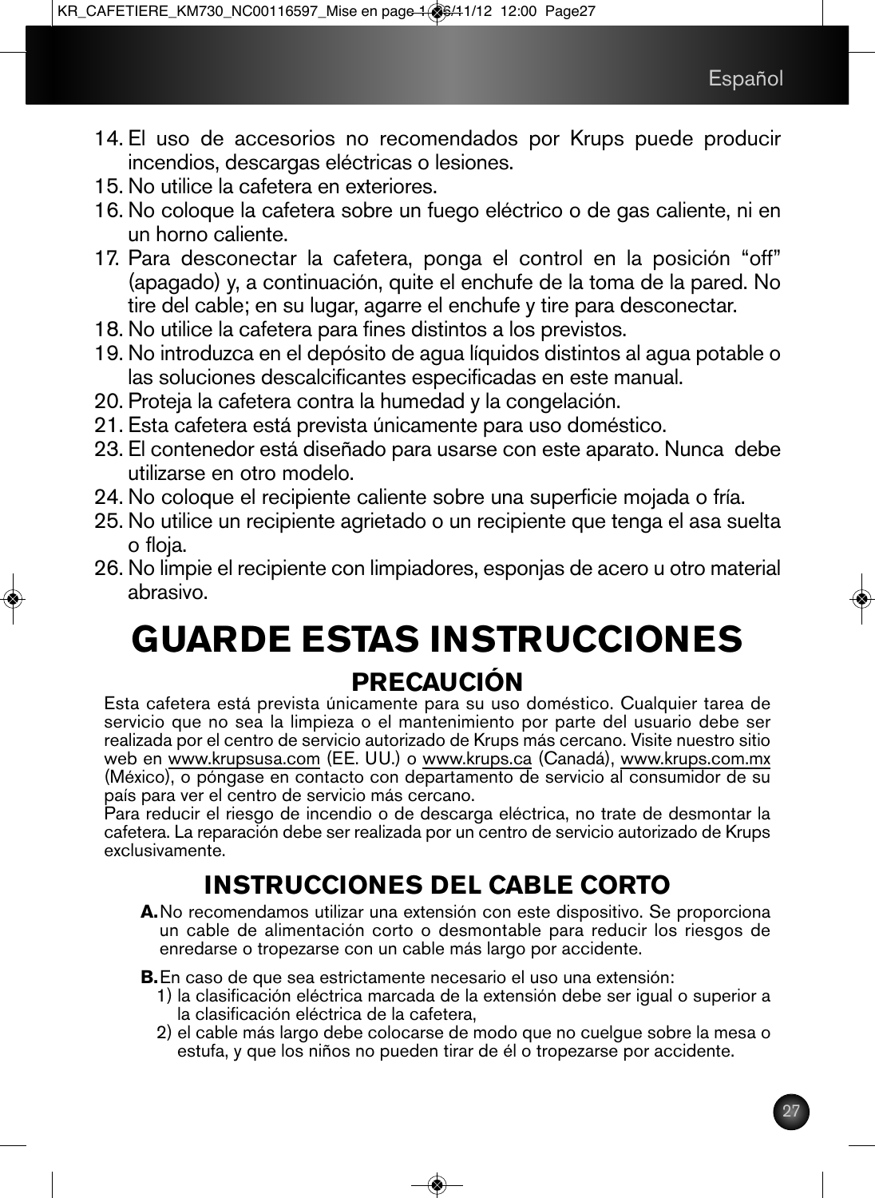- 14. El uso de accesorios no recomendados por Krups puede producir incendios, descargas eléctricas o lesiones.
- 15. No utilice la cafetera en exteriores.
- 16. No coloque la cafetera sobre un fuego eléctrico o de gas caliente, ni en un horno caliente.
- 17. Para desconectar la cafetera, ponga el control en la posición "off" (apagado) y, a continuación, quite el enchufe de la toma de la pared. No tire del cable; en su lugar, agarre el enchufe y tire para desconectar.
- 18. No utilice la cafetera para fines distintos a los previstos.
- 19. No introduzca en el depósito de agua líquidos distintos al agua potable o las soluciones descalcificantes especificadas en este manual.
- 20. Proteja la cafetera contra la humedad y la congelación.
- 21. Esta cafetera está prevista únicamente para uso doméstico.
- 23. El contenedor está diseñado para usarse con este aparato. Nunca debe utilizarse en otro modelo.
- 24. No coloque el recipiente caliente sobre una superficie mojada o fría.
- 25. No utilice un recipiente agrietado o un recipiente que tenga el asa suelta o floja.
- 26. No limpie el recipiente con limpiadores, esponjas de acero u otro material abrasivo.

# **GUARDE ESTAS INSTRUCCIONES PRECAUCIÓN**

Esta cafetera está prevista únicamente para su uso doméstico. Cualquier tarea de servicio que no sea la limpieza o el mantenimiento por parte del usuario debe ser realizada por el centro de servicio autorizado de Krups más cercano. Visite nuestro sitio web en www.krupsusa.com (EE. UU.) o www.krups.ca (Canadá), www.krups.com.mx (México), o póngase en contacto con departamento de servicio al consumidor de su país para ver el centro de servicio más cercano.

Para reducir el riesgo de incendio o de descarga eléctrica, no trate de desmontar la cafetera. La reparación debe ser realizada por un centro de servicio autorizado de Krups exclusivamente.

## **INSTRUCCIONES DEL CABLE CORTO**

**A.**No recomendamos utilizar una extensión con este dispositivo. Se proporciona un cable de alimentación corto o desmontable para reducir los riesgos de enredarse o tropezarse con un cable más largo por accidente.

**B.**En caso de que sea estrictamente necesario el uso una extensión:

- 1) la clasificación eléctrica marcada de la extensión debe ser igual o superior a
- 2) el cable más largo debe colocarse de modo que no cuelgue sobre la mesa o estufa, y que los niños no pueden tirar de él o tropezarse por accidente.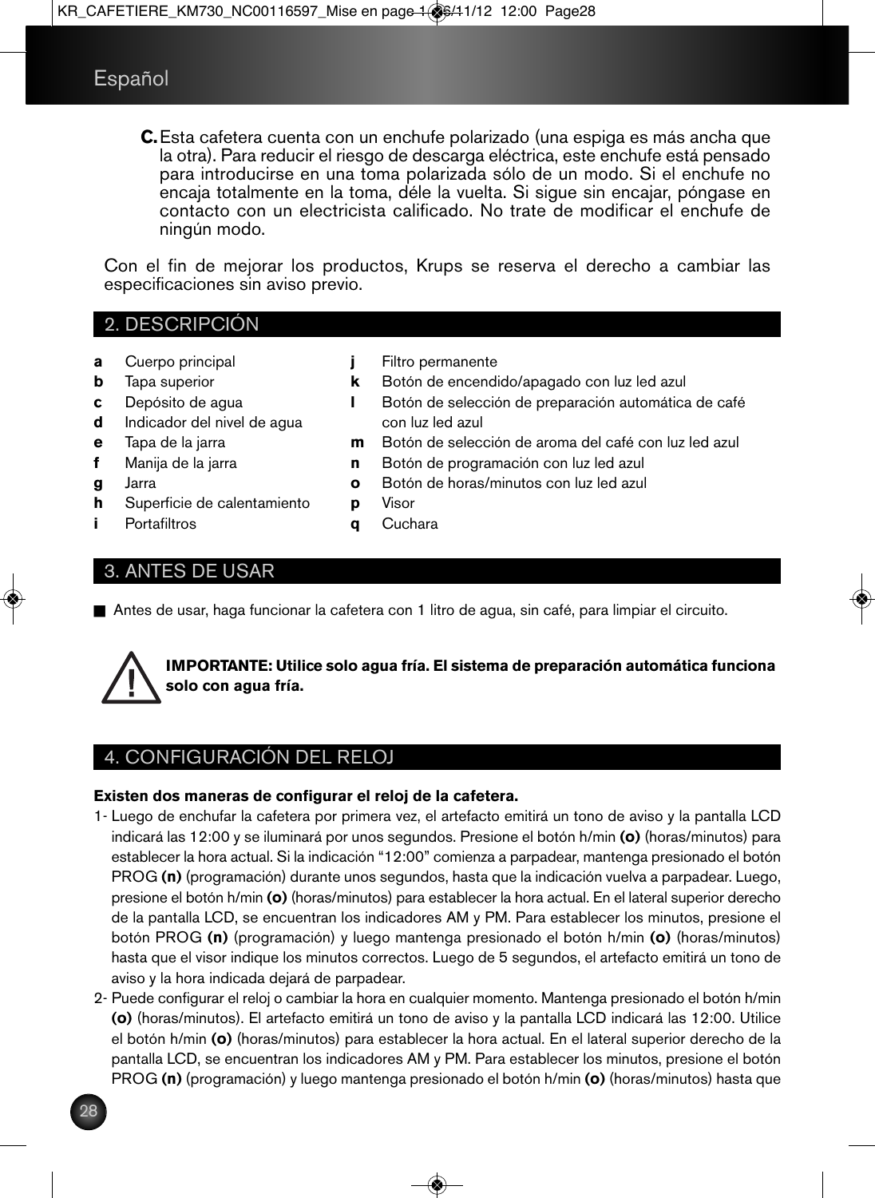**C.**Esta cafetera cuenta con un enchufe polarizado (una espiga es más ancha que la otra). Para reducir el riesgo de descarga eléctrica, este enchufe está pensado para introducirse en una toma polarizada sólo de un modo. Si el enchufe no encaja totalmente en la toma, déle la vuelta. Si sigue sin encajar, póngase en contacto con un electricista calificado. No trate de modificar el enchufe de ningún modo.

Con el fin de mejorar los productos, Krups se reserva el derecho a cambiar las especificaciones sin aviso previo.

## 2. DESCRIPCIÓN

- **a** Cuerpo principal
- **b** Tapa superior
- **c** Depósito de agua
- **d** Indicador del nivel de agua
- **e** Tapa de la jarra
- **f** Manija de la jarra
- **g** Jarra
- **h** Superficie de calentamiento
- **i** Portafiltros
- **j** Filtro permanente
- **k** Botón de encendido/apagado con luz led azul
- **l** Botón de selección de preparación automática de café con luz led azul
- **m** Botón de selección de aroma del café con luz led azul
- **n** Botón de programación con luz led azul
- **o** Botón de horas/minutos con luz led azul
- **p** Visor
- **q** Cuchara

## 3. ANTES DE USAR

n Antes de usar, haga funcionar la cafetera con 1 litro de agua, sin café, para limpiar el circuito.



**IMPORTANTE: Utilice solo agua fría. El sistema de preparación automática funciona solo con agua fría.**

## 4. CONFIGURACIÓN DEL RELOJ

#### **Existen dos maneras de configurar el reloj de la cafetera.**

- 1- Luego de enchufar la cafetera por primera vez, el artefacto emitirá un tono de aviso y la pantalla LCD indicará las 12:00 y se iluminará por unos segundos. Presione el botón h/min **(o)** (horas/minutos) para establecer la hora actual. Si la indicación "12:00" comienza a parpadear, mantenga presionado el botón PROG **(n)** (programación) durante unos segundos, hasta que la indicación vuelva a parpadear. Luego, presione el botón h/min **(o)** (horas/minutos) para establecer la hora actual. En el lateral superior derecho de la pantalla LCD, se encuentran los indicadores AM y PM. Para establecer los minutos, presione el botón PROG **(n)** (programación) y luego mantenga presionado el botón h/min **(o)** (horas/minutos) hasta que el visor indique los minutos correctos. Luego de 5 segundos, el artefacto emitirá un tono de aviso y la hora indicada dejará de parpadear.
- 2- Puede configurar el reloj o cambiar la hora en cualquier momento. Mantenga presionado el botón h/min **(o)** (horas/minutos). El artefacto emitirá un tono de aviso y la pantalla LCD indicará las 12:00. Utilice el botón h/min **(o)** (horas/minutos) para establecer la hora actual. En el lateral superior derecho de la pantalla LCD, se encuentran los indicadores AM y PM. Para establecer los minutos, presione el botón PROG **(n)** (programación) y luego mantenga presionado el botón h/min **(o)** (horas/minutos) hasta que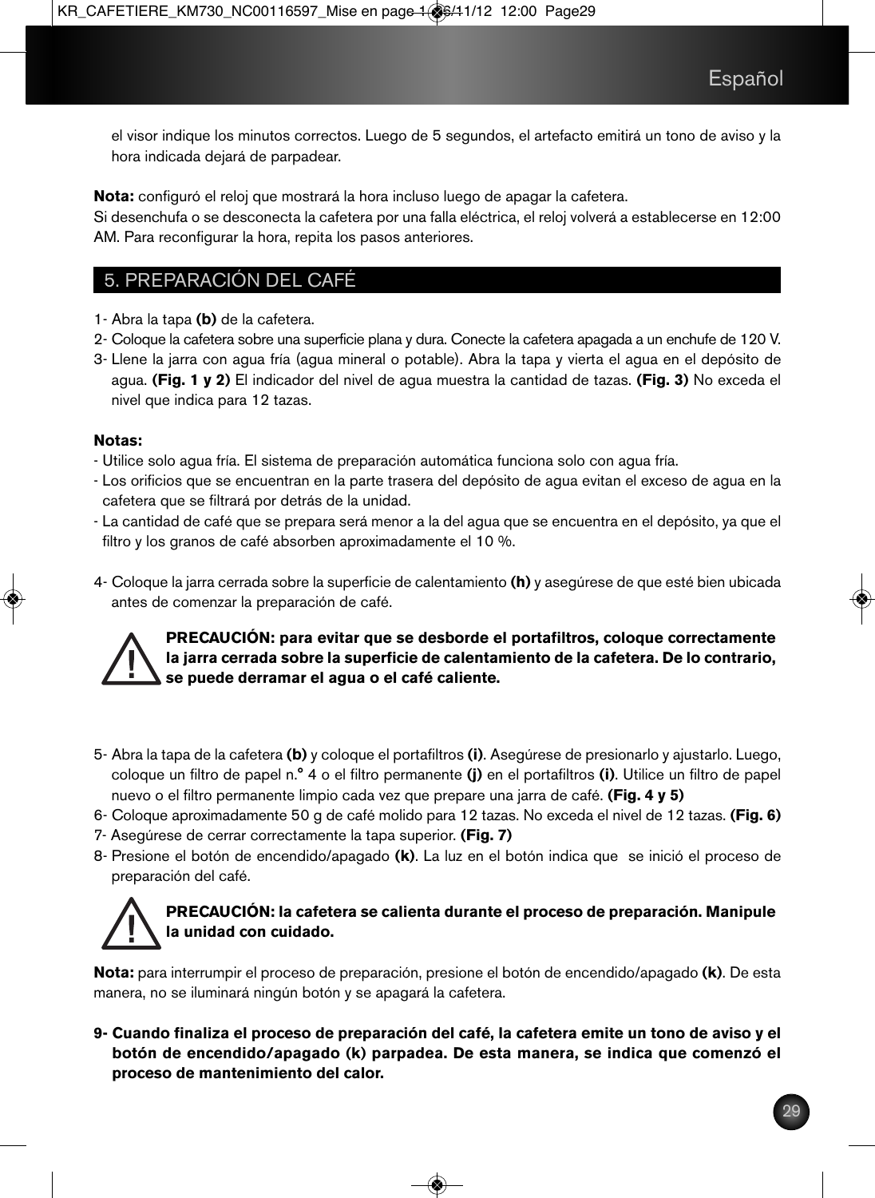el visor indique los minutos correctos. Luego de 5 segundos, el artefacto emitirá un tono de aviso y la hora indicada dejará de parpadear.

**Nota:** configuró el reloj que mostrará la hora incluso luego de apagar la cafetera.

Si desenchufa o se desconecta la cafetera por una falla eléctrica, el reloj volverá a establecerse en 12:00 AM. Para reconfigurar la hora, repita los pasos anteriores.

## 5. PREPARACIÓN DEL CAFÉ

- 1- Abra la tapa **(b)** de la cafetera.
- 2- Coloque la cafetera sobre una superficie plana y dura. Conecte la cafetera apagada a un enchufe de 120 V.
- 3- Llene la jarra con agua fría (agua mineral o potable). Abra la tapa y vierta el agua en el depósito de agua. **(Fig. 1 y 2)** El indicador del nivel de agua muestra la cantidad de tazas. **(Fig. 3)** No exceda el nivel que indica para 12 tazas.

#### **Notas:**

- Utilice solo agua fría. El sistema de preparación automática funciona solo con agua fría.
- Los orificios que se encuentran en la parte trasera del depósito de agua evitan el exceso de agua en la cafetera que se filtrará por detrás de la unidad.
- La cantidad de café que se prepara será menor a la del agua que se encuentra en el depósito, ya que el filtro y los granos de café absorben aproximadamente el 10 %.
- 4- Coloque la jarra cerrada sobre la superficie de calentamiento **(h)** y asegúrese de que esté bien ubicada antes de comenzar la preparación de café.

#### **PRECAUCIÓN: para evitar que se desborde el portafiltros, coloque correctamente la jarra cerrada sobre la superficie de calentamiento de la cafetera. De lo contrario, se puede derramar el agua o el café caliente.**

- 5- Abra la tapa de la cafetera **(b)** y coloque el portafiltros **(i)**. Asegúrese de presionarlo y ajustarlo. Luego, coloque un filtro de papel n.° 4 o el filtro permanente **(j)** en el portafiltros **(i)**. Utilice un filtro de papel nuevo o el filtro permanente limpio cada vez que prepare una jarra de café. **(Fig. 4 y 5)**
- 6- Coloque aproximadamente 50 g de café molido para 12 tazas. No exceda el nivel de 12 tazas. **(Fig. 6)**
- 7- Asegúrese de cerrar correctamente la tapa superior. **(Fig. 7)**
- 8- Presione el botón de encendido/apagado **(k)**. La luz en el botón indica que se inició el proceso de preparación del café.

## **PRECAUCIÓN: la cafetera se calienta durante el proceso de preparación. Manipule la unidad con cuidado.**

**Nota:** para interrumpir el proceso de preparación, presione el botón de encendido/apagado **(k)**. De esta manera, no se iluminará ningún botón y se apagará la cafetera.

**9- Cuando finaliza el proceso de preparación del café, la cafetera emite un tono de aviso y el botón de encendido/apagado (k) parpadea. De esta manera, se indica que comenzó el proceso de mantenimiento del calor.**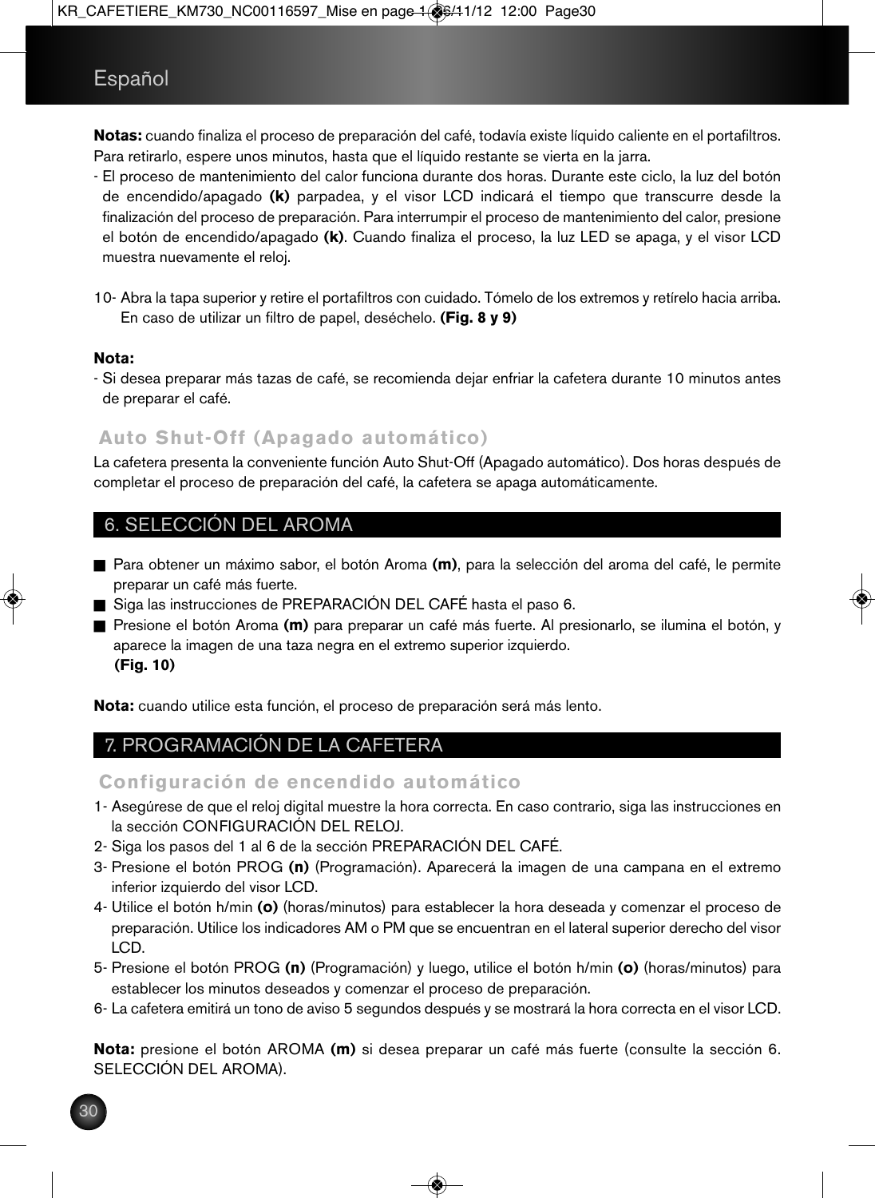**Notas:** cuando finaliza el proceso de preparación del café, todavía existe líquido caliente en el portafiltros. Para retirarlo, espere unos minutos, hasta que el líquido restante se vierta en la jarra.

- El proceso de mantenimiento del calor funciona durante dos horas. Durante este ciclo, la luz del botón de encendido/apagado **(k)** parpadea, y el visor LCD indicará el tiempo que transcurre desde la finalización del proceso de preparación. Para interrumpir el proceso de mantenimiento del calor, presione el botón de encendido/apagado **(k)**. Cuando finaliza el proceso, la luz LED se apaga, y el visor LCD muestra nuevamente el reloj.
- 10- Abra la tapa superior y retire el portafiltros con cuidado. Tómelo de los extremos y retírelo hacia arriba. En caso de utilizar un filtro de papel, deséchelo. **(Fig. 8 y 9)**

#### **Nota:**

- Si desea preparar más tazas de café, se recomienda dejar enfriar la cafetera durante 10 minutos antes de preparar el café.

## **Auto Shut-Off (Apagado automático)**

La cafetera presenta la conveniente función Auto Shut-Off (Apagado automático). Dos horas después de completar el proceso de preparación del café, la cafetera se apaga automáticamente.

## 6. SELECCIÓN DEL AROMA

- n Para obtener un máximo sabor, el botón Aroma **(m)**, para la selección del aroma del café, le permite preparar un café más fuerte.
- Siga las instrucciones de PREPARACIÓN DEL CAFÉ hasta el paso 6.
- Presione el botón Aroma (**m**) para preparar un café más fuerte. Al presionarlo, se ilumina el botón, y aparece la imagen de una taza negra en el extremo superior izquierdo. **(Fig. 10)**

**Nota:** cuando utilice esta función, el proceso de preparación será más lento.

## 7. PROGRAMACIÓN DE LA CAFETERA

## **Configuración de encendido automático**

- 1- Asegúrese de que el reloj digital muestre la hora correcta. En caso contrario, siga las instrucciones en la sección CONFIGURACIÓN DEL RELOJ.
- 2- Siga los pasos del 1 al 6 de la sección PREPARACIÓN DEL CAFÉ.
- 3- Presione el botón PROG **(n)** (Programación). Aparecerá la imagen de una campana en el extremo inferior izquierdo del visor LCD.
- 4- Utilice el botón h/min **(o)** (horas/minutos) para establecer la hora deseada y comenzar el proceso de preparación. Utilice los indicadores AM o PM que se encuentran en el lateral superior derecho del visor LCD.
- 5- Presione el botón PROG **(n)** (Programación) y luego, utilice el botón h/min **(o)** (horas/minutos) para establecer los minutos deseados y comenzar el proceso de preparación.
- 6- La cafetera emitirá un tono de aviso 5 segundos después y se mostrará la hora correcta en el visor LCD.

**Nota:** presione el botón AROMA **(m)** si desea preparar un café más fuerte (consulte la sección 6. SELECCIÓN DEL AROMA).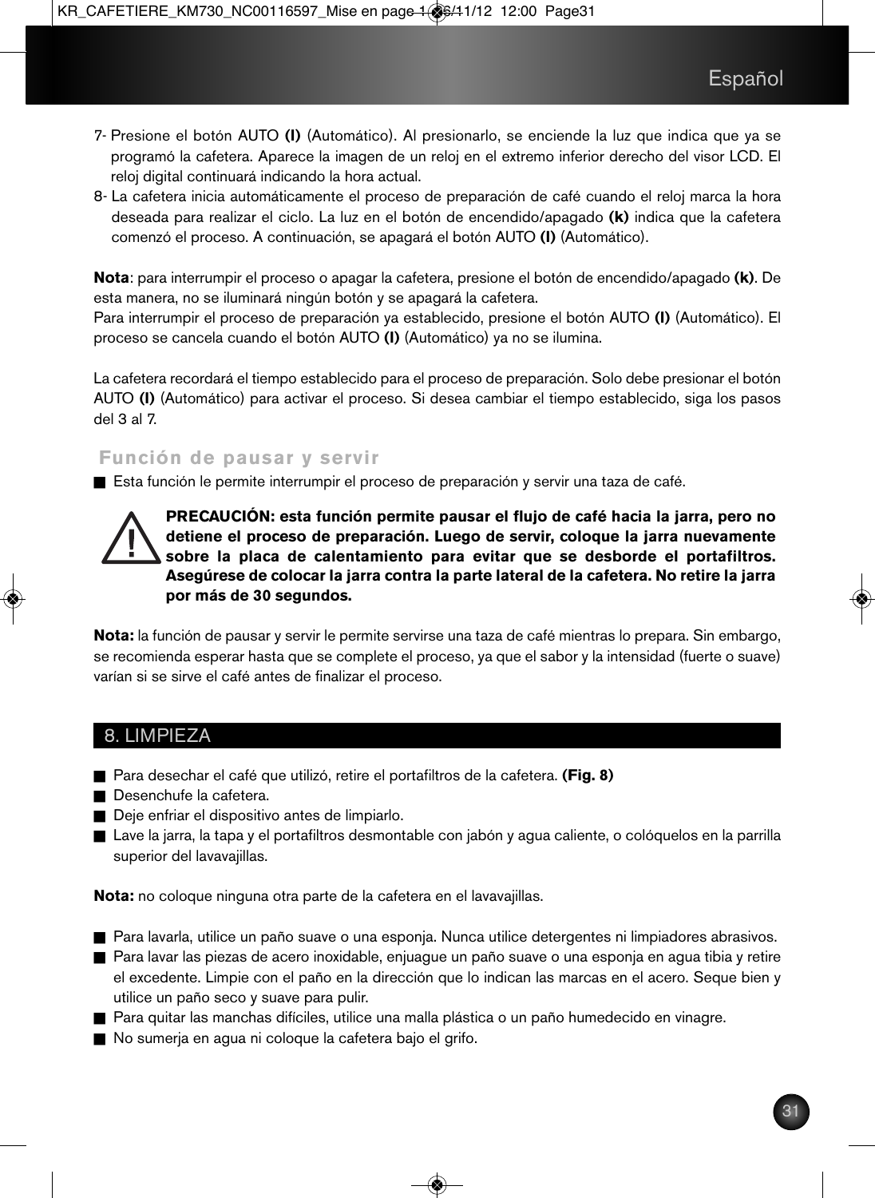- 7- Presione el botón AUTO **(l)** (Automático). Al presionarlo, se enciende la luz que indica que ya se programó la cafetera. Aparece la imagen de un reloj en el extremo inferior derecho del visor LCD. El reloj digital continuará indicando la hora actual.
- 8- La cafetera inicia automáticamente el proceso de preparación de café cuando el reloj marca la hora deseada para realizar el ciclo. La luz en el botón de encendido/apagado **(k)** indica que la cafetera comenzó el proceso. A continuación, se apagará el botón AUTO **(l)** (Automático).

**Nota**: para interrumpir el proceso o apagar la cafetera, presione el botón de encendido/apagado **(k)**. De esta manera, no se iluminará ningún botón y se apagará la cafetera.

Para interrumpir el proceso de preparación ya establecido, presione el botón AUTO **(l)** (Automático). El proceso se cancela cuando el botón AUTO **(l)** (Automático) ya no se ilumina.

La cafetera recordará el tiempo establecido para el proceso de preparación. Solo debe presionar el botón AUTO **(l)** (Automático) para activar el proceso. Si desea cambiar el tiempo establecido, siga los pasos del 3 al 7.

### **Función de pausar y servir**

n Esta función le permite interrumpir el proceso de preparación y servir una taza de café.

**PRECAUCIÓN: esta función permite pausar el flujo de café hacia la jarra, pero no detiene el proceso de preparación. Luego de servir, coloque la jarra nuevamente sobre la placa de calentamiento para evitar que se desborde el portafiltros. Asegúrese de colocar la jarra contra la parte lateral de la cafetera. No retire la jarra por más de 30 segundos.**

**Nota:** la función de pausar y servir le permite servirse una taza de café mientras lo prepara. Sin embargo, se recomienda esperar hasta que se complete el proceso, ya que el sabor y la intensidad (fuerte o suave) varían si se sirve el café antes de finalizar el proceso.

## 8. LIMPIEZA

- n Para desechar el café que utilizó, retire el portafiltros de la cafetera. **(Fig. 8)**
- **Desenchufe la cafetera.**
- Deje enfriar el dispositivo antes de limpiarlo.
- n Lave la jarra, la tapa y el portafiltros desmontable con jabón y agua caliente, o colóquelos en la parrilla superior del lavavajillas.

**Nota:** no coloque ninguna otra parte de la cafetera en el lavavajillas.

- Para lavarla, utilice un paño suave o una esponja. Nunca utilice detergentes ni limpiadores abrasivos. n Para lavar las piezas de acero inoxidable, enjuague un paño suave o una esponja en agua tibia y retire el excedente. Limpie con el paño en la dirección que lo indican las marcas en el acero. Seque bien y utilice un paño seco y suave para pulir.
- n Para quitar las manchas difíciles, utilice una malla plástica o un paño humedecido en vinagre.
- n No sumerja en agua ni coloque la cafetera bajo el grifo.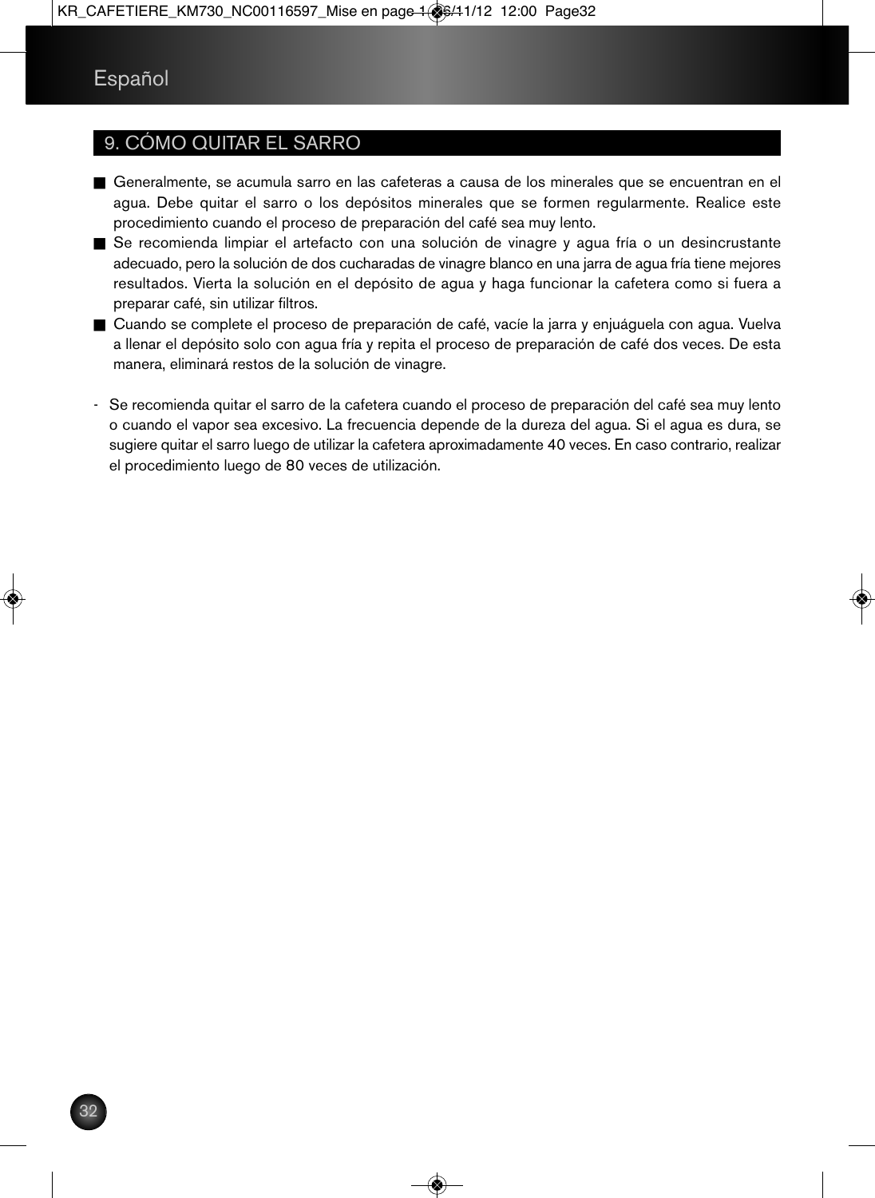## 9. CÓMO QUITAR EL SARRO

- n Generalmente, se acumula sarro en las cafeteras a causa de los minerales que se encuentran en el agua. Debe quitar el sarro o los depósitos minerales que se formen regularmente. Realice este procedimiento cuando el proceso de preparación del café sea muy lento.
- Se recomienda limpiar el artefacto con una solución de vinagre y agua fría o un desincrustante adecuado, pero la solución de dos cucharadas de vinagre blanco en una jarra de agua fría tiene mejores resultados. Vierta la solución en el depósito de agua y haga funcionar la cafetera como si fuera a preparar café, sin utilizar filtros.
- Cuando se complete el proceso de preparación de café, vacíe la jarra y enjuáguela con agua. Vuelva a llenar el depósito solo con agua fría y repita el proceso de preparación de café dos veces. De esta manera, eliminará restos de la solución de vinagre.
- Se recomienda quitar el sarro de la cafetera cuando el proceso de preparación del café sea muy lento o cuando el vapor sea excesivo. La frecuencia depende de la dureza del agua. Si el agua es dura, se sugiere quitar el sarro luego de utilizar la cafetera aproximadamente 40 veces. En caso contrario, realizar el procedimiento luego de 80 veces de utilización.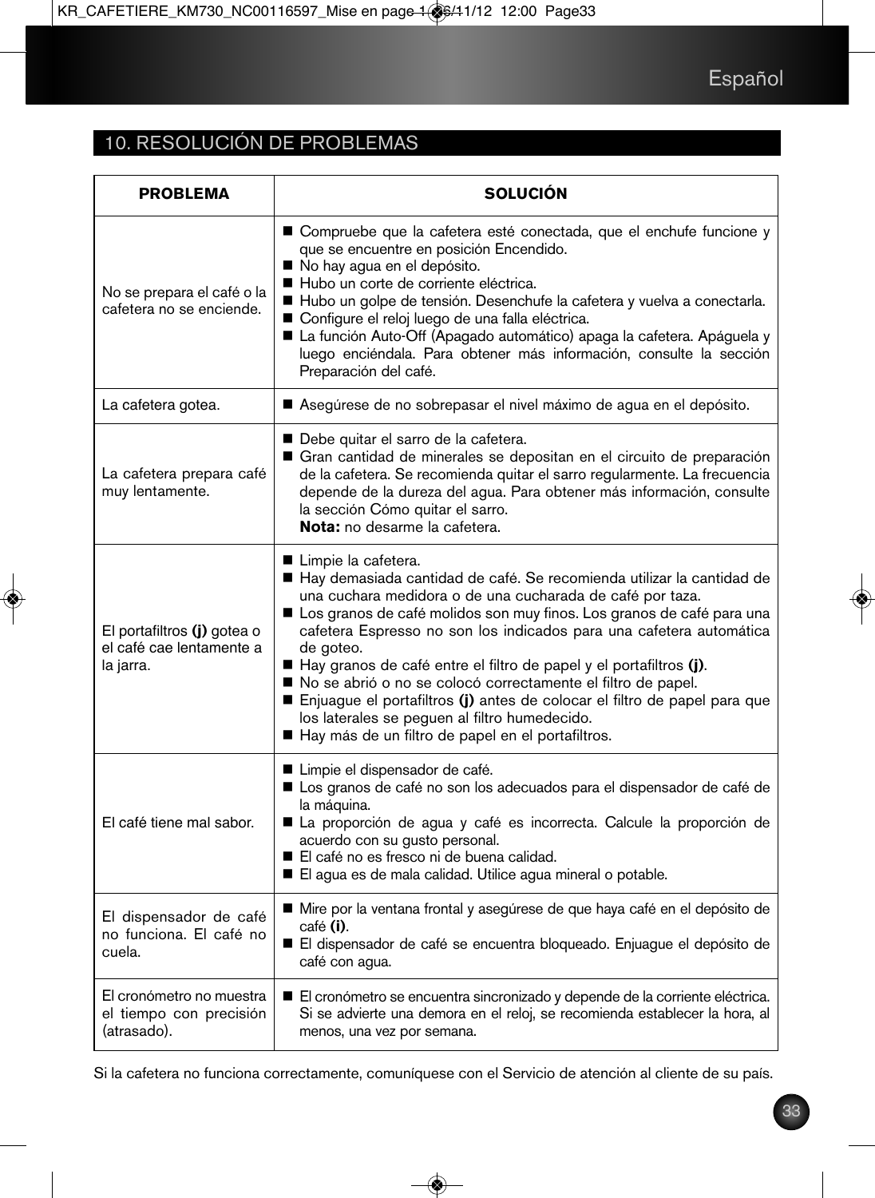## 10. RESOLUCIÓN DE PROBLEMAS

| <b>PROBLEMA</b>                                                      | <b>SOLUCION</b>                                                                                                                                                                                                                                                                                                                                                                                                                                                                                                                                                                                                                                   |
|----------------------------------------------------------------------|---------------------------------------------------------------------------------------------------------------------------------------------------------------------------------------------------------------------------------------------------------------------------------------------------------------------------------------------------------------------------------------------------------------------------------------------------------------------------------------------------------------------------------------------------------------------------------------------------------------------------------------------------|
| No se prepara el café o la<br>cafetera no se enciende.               | ■ Compruebe que la cafetera esté conectada, que el enchufe funcione y<br>que se encuentre en posición Encendido.<br>No hay agua en el depósito.<br>Hubo un corte de corriente eléctrica.<br>Hubo un golpe de tensión. Desenchufe la cafetera y vuelva a conectarla.<br>Configure el reloj luego de una falla eléctrica.<br>La función Auto-Off (Apagado automático) apaga la cafetera. Apáguela y<br>luego enciéndala. Para obtener más información, consulte la sección<br>Preparación del café.                                                                                                                                                 |
| La cafetera gotea.                                                   | Asegúrese de no sobrepasar el nivel máximo de agua en el depósito.                                                                                                                                                                                                                                                                                                                                                                                                                                                                                                                                                                                |
| La cafetera prepara café<br>muy lentamente.                          | ■ Debe quitar el sarro de la cafetera.<br>Gran cantidad de minerales se depositan en el circuito de preparación<br>de la cafetera. Se recomienda quitar el sarro regularmente. La frecuencia<br>depende de la dureza del agua. Para obtener más información, consulte<br>la sección Cómo quitar el sarro.<br>Nota: no desarme la cafetera.                                                                                                                                                                                                                                                                                                        |
| El portafiltros (j) gotea o<br>el café cae lentamente a<br>la jarra. | ■ Limpie la cafetera.<br>Hay demasiada cantidad de café. Se recomienda utilizar la cantidad de<br>una cuchara medidora o de una cucharada de café por taza.<br>Los granos de café molidos son muy finos. Los granos de café para una<br>cafetera Espresso no son los indicados para una cafetera automática<br>de goteo.<br>Hay granos de café entre el filtro de papel y el portafiltros (j).<br>No se abrió o no se colocó correctamente el filtro de papel.<br>Enjuague el portafiltros (j) antes de colocar el filtro de papel para que<br>los laterales se peguen al filtro humedecido.<br>Hay más de un filtro de papel en el portafiltros. |
| El café tiene mal sabor.                                             | Limpie el dispensador de café.<br>Los granos de café no son los adecuados para el dispensador de café de<br>la máquina.<br>La proporción de agua y café es incorrecta. Calcule la proporción de<br>acuerdo con su gusto personal.<br>El café no es fresco ni de buena calidad.<br>El agua es de mala calidad. Utilice agua mineral o potable.                                                                                                                                                                                                                                                                                                     |
| El dispensador de café<br>no funciona. El café no<br>cuela.          | ■ Mire por la ventana frontal y asegúrese de que haya café en el depósito de<br>café (i).<br>El dispensador de café se encuentra bloqueado. Enjuague el depósito de<br>café con agua.                                                                                                                                                                                                                                                                                                                                                                                                                                                             |
| El cronómetro no muestra<br>el tiempo con precisión<br>(atrasado).   | El cronómetro se encuentra sincronizado y depende de la corriente eléctrica.<br>Si se advierte una demora en el reloj, se recomienda establecer la hora, al<br>menos, una vez por semana.                                                                                                                                                                                                                                                                                                                                                                                                                                                         |

Si la cafetera no funciona correctamente, comuníquese con el Servicio de atención al cliente de su país.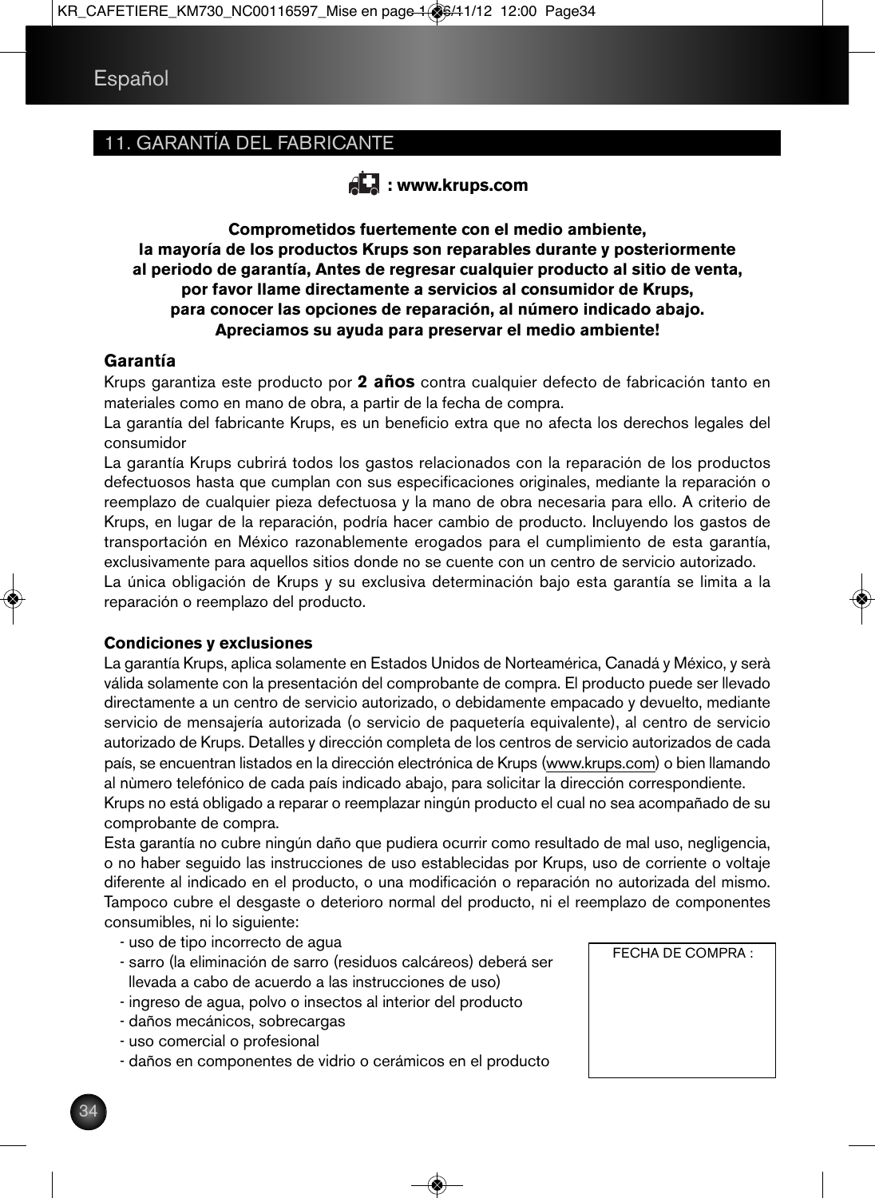## 11. GARANTÍA DEL FABRICANTE



**Comprometidos fuertemente con el medio ambiente, la mayoría de los productos Krups son reparables durante y posteriormente al periodo de garantía, Antes de regresar cualquier producto al sitio de venta, por favor llame directamente a servicios al consumidor de Krups, para conocer las opciones de reparación, al número indicado abajo. Apreciamos su ayuda para preservar el medio ambiente!**

#### **Garantía**

Krups garantiza este producto por **2 años** contra cualquier defecto de fabricación tanto en materiales como en mano de obra, a partir de la fecha de compra.

La garantía del fabricante Krups, es un beneficio extra que no afecta los derechos legales del consumidor

La garantía Krups cubrirá todos los gastos relacionados con la reparación de los productos defectuosos hasta que cumplan con sus especificaciones originales, mediante la reparación o reemplazo de cualquier pieza defectuosa y la mano de obra necesaria para ello. A criterio de Krups, en lugar de la reparación, podría hacer cambio de producto. Incluyendo los gastos de transportación en México razonablemente erogados para el cumplimiento de esta garantía, exclusivamente para aquellos sitios donde no se cuente con un centro de servicio autorizado.

La única obligación de Krups y su exclusiva determinación bajo esta garantía se limita a la reparación o reemplazo del producto.

#### **Condiciones y exclusiones**

La garantía Krups, aplica solamente en Estados Unidos de Norteamérica, Canadá y México, y serà válida solamente con la presentación del comprobante de compra. El producto puede ser llevado directamente a un centro de servicio autorizado, o debidamente empacado y devuelto, mediante servicio de mensajería autorizada (o servicio de paquetería equivalente), al centro de servicio autorizado de Krups. Detalles y dirección completa de los centros de servicio autorizados de cada país, se encuentran listados en la dirección electrónica de Krups (www.krups.com) o bien llamando al nùmero telefónico de cada país indicado abajo, para solicitar la dirección correspondiente.

Krups no está obligado a reparar o reemplazar ningún producto el cual no sea acompañado de su comprobante de compra.

Esta garantía no cubre ningún daño que pudiera ocurrir como resultado de mal uso, negligencia, o no haber seguido las instrucciones de uso establecidas por Krups, uso de corriente o voltaje diferente al indicado en el producto, o una modificación o reparación no autorizada del mismo. Tampoco cubre el desgaste o deterioro normal del producto, ni el reemplazo de componentes consumibles, ni lo siguiente:

- uso de tipo incorrecto de agua

- sarro (la eliminación de sarro (residuos calcáreos) deberá ser llevada a cabo de acuerdo a las instrucciones de uso)
- ingreso de agua, polvo o insectos al interior del producto
- daños mecánicos, sobrecargas
- uso comercial o profesional
- daños en componentes de vidrio o cerámicos en el producto

FECHA DE COMPRA :